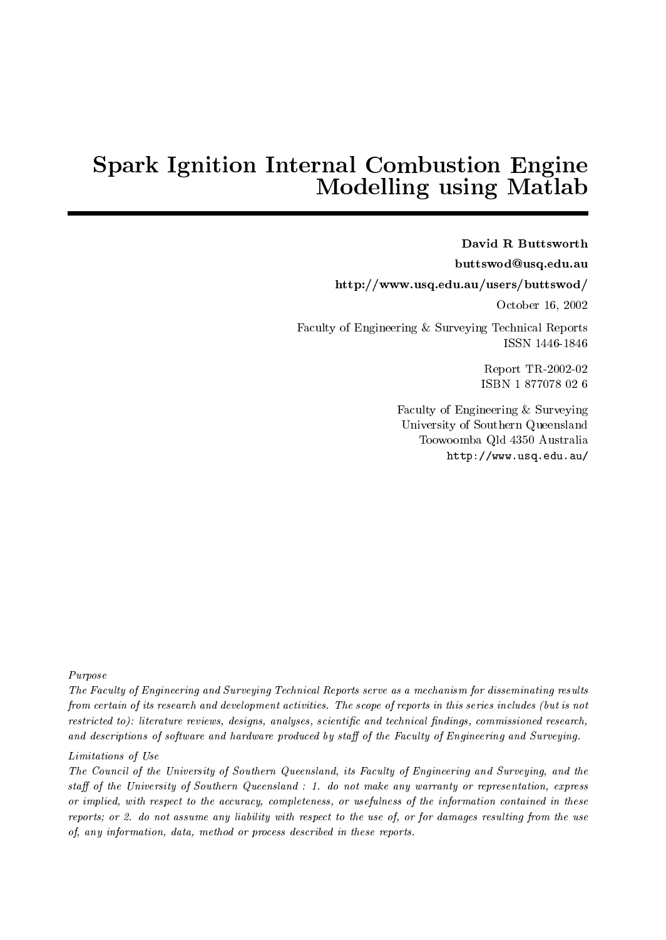# Space Ignition Islamic Internal Computer Internal Combustion Engineering Internal Combustion Engineering Internal Com Modelling using Matlab

David R Buttsworth buttswod@usq.edu.au http://www.usq.edu.au/users/buttswod/ October 16, 2002 Faculty of Engineering & Surveying Technical Reports ISSN 1446-1846

> Report TR-2002-02 ISBN 1 877078 02 6

Faculty of Engineering & Surveying University of Southern Queensland Toowoomba Qld 4350 Australia http://www.usq.edu.au/

Purpose

The Faculty of Engineering and Surveying Technical Reports serve as a mechanism for disseminating resultsfrom certain of its research and development activities. The scope of reports in this series includes (but is not restricted to): literature reviews, designs, analyses, scientic and technical ndings, commissioned research, and descriptions of software and hardware produced by staff of the Faculty of Engineering and Surveying.

### Limitations of Use

The Council of the University of Southern Queensland, its Faculty of Engineering and Surveying, and the sta of the University of Southern Queensland : 1. do not make any warranty or representation, express or implied, with respect to the accuracy, completeness, or usefulness of the information contained in these reports; or 2. do not assume any liability with respect to the use of, or for damages resulting from the use of, any information, data, method or process described in these reports.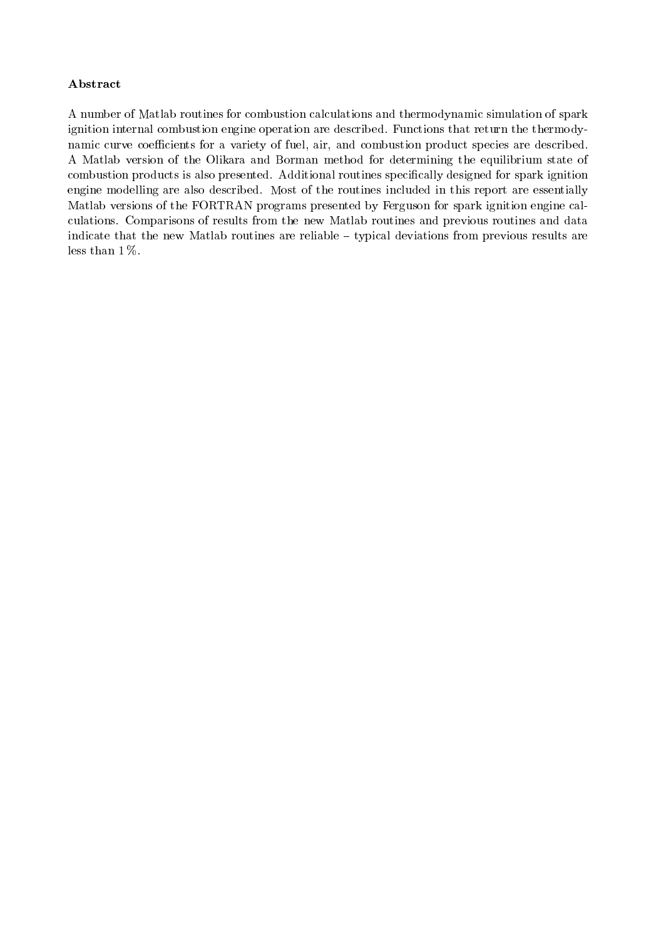### Abstract

A number of Matlab routines for combustion calculations and thermodynamic simulation of spark ignition internal combustion engine operation are described. Functions that return the thermodynamic curve coefficients for a variety of fuel, air, and combustion product species are described. A Matlab version of the Olikara and Borman method for determining the equilibrium state of combustion products is also presented. Additional routines specically designed for spark ignition engine modelling are also described. Most of the routines included in this report are essentially Matlab versions of the FORTRAN programs presented by Ferguson for spark ignition engine calculations. Comparisons of results from the new Matlab routines and previous routines and data indicate that the new Matlab routines are reliable - typical deviations from previous results are less than 1 %.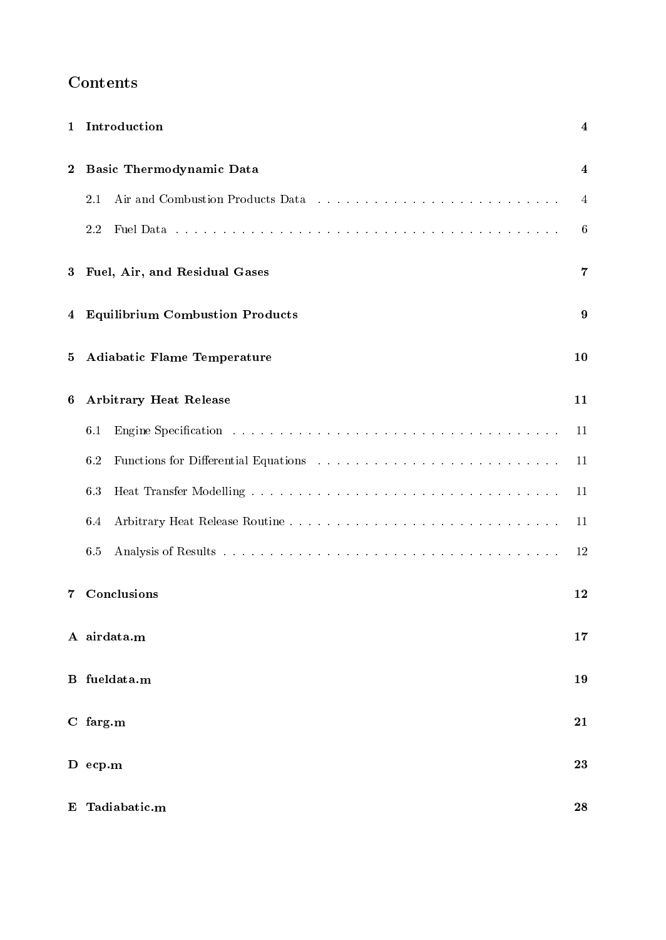## Contents

| $\mathbf{1}$   | Introduction                            | 4  |  |  |  |  |  |  |
|----------------|-----------------------------------------|----|--|--|--|--|--|--|
| $\bf{2}$       | Basic Thermodynamic Data                |    |  |  |  |  |  |  |
|                | Air and Combustion Products Data<br>2.1 | 4  |  |  |  |  |  |  |
|                | 2.2                                     | 6  |  |  |  |  |  |  |
| $\bf{3}$       | Fuel, Air, and Residual Gases           | 7  |  |  |  |  |  |  |
| 4              | <b>Equilibrium Combustion Products</b>  | 9  |  |  |  |  |  |  |
| 5              | <b>Adiabatic Flame Temperature</b>      | 10 |  |  |  |  |  |  |
| 6              | <b>Arbitrary Heat Release</b>           | 11 |  |  |  |  |  |  |
|                | 6.1                                     | 11 |  |  |  |  |  |  |
|                | 6.2                                     | 11 |  |  |  |  |  |  |
|                | 6.3                                     | 11 |  |  |  |  |  |  |
|                | 6.4                                     | 11 |  |  |  |  |  |  |
|                | 6.5                                     | 12 |  |  |  |  |  |  |
| 7              | Conclusions                             | 12 |  |  |  |  |  |  |
|                | A airdata.m                             |    |  |  |  |  |  |  |
|                | <b>B</b> fueldata.m                     |    |  |  |  |  |  |  |
|                | $C$ farg.m                              |    |  |  |  |  |  |  |
|                | $D$ ecp.m                               | 23 |  |  |  |  |  |  |
| E Tadiabatic.m |                                         |    |  |  |  |  |  |  |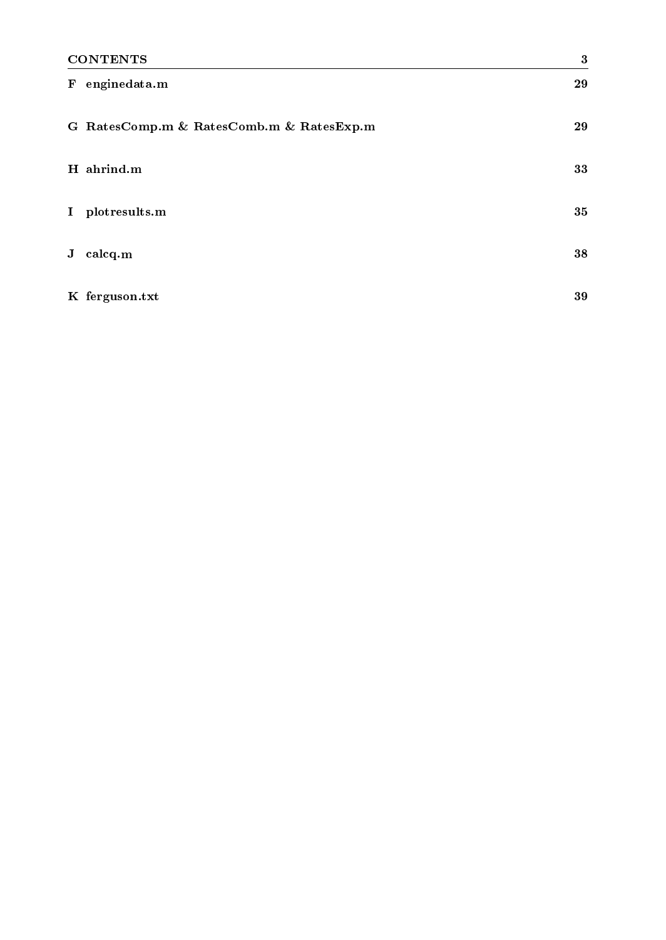| <b>CONTENTS</b>               |                                          | $\boldsymbol{3}$ |
|-------------------------------|------------------------------------------|------------------|
| enginedata.m<br>${\bf F}$     |                                          | 29               |
|                               | G RatesComp.m & RatesComb.m & RatesExp.m | 29               |
| H ahrind.m                    |                                          | 33               |
| plotresults.m<br>$\mathbf{I}$ |                                          | 35               |
| calcq.m<br>J                  |                                          | 38               |
| K ferguson.txt                |                                          | 39               |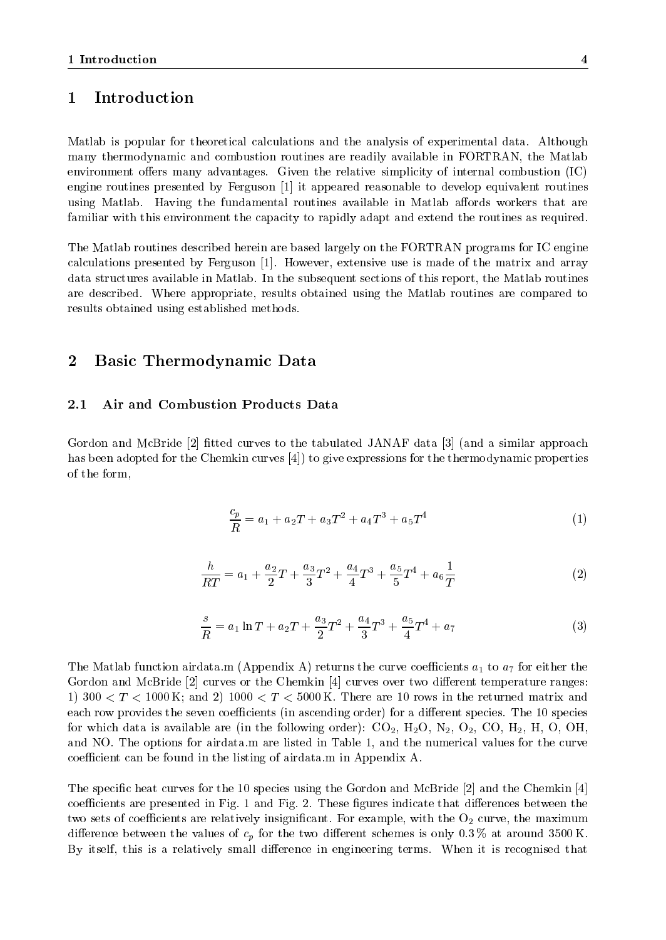### 1 Introduction

Matlab is popular for theoretical calculations and the analysis of experimental data. Although many thermodynamic and combustion routines are readily available in FORTRAN, the Matlab environment offers many advantages. Given the relative simplicity of internal combustion  $(IC)$ engine routines presented by Ferguson [1] it appeared reasonable to develop equivalent routines using Matlab. Having the fundamental routines available in Matlab affords workers that are familiar with this environment the capacity to rapidly adapt and extend the routines as required.

The Matlab routines described herein are based largely on the FORTRAN programs for IC engine calculations presented by Ferguson [1]. However, extensive use is made of the matrix and array data structures available in Matlab. In the subsequent sections of this report, the Matlab routines are described. Where appropriate, results obtained using the Matlab routines are compared to results obtained using established methods.

### 2 Basic Thermodynamic Data

### 2.1 Air and Combustion Products Data

Gordon and McBride [2] fitted curves to the tabulated JANAF data [3] (and a similar approach has been adopted for the Chemkin curves [4]) to give expressions for the thermodynamic properties of the form,

$$
\frac{c_p}{R} = a_1 + a_2 T + a_3 T^2 + a_4 T^3 + a_5 T^4 \tag{1}
$$

$$
\frac{h}{RT} = a_1 + \frac{a_2}{2}T + \frac{a_3}{3}T^2 + \frac{a_4}{4}T^3 + \frac{a_5}{5}T^4 + a_6\frac{1}{T}
$$
\n(2)

$$
\frac{s}{R} = a_1 \ln T + a_2 T + \frac{a_3}{2} T^2 + \frac{a_4}{3} T^3 + \frac{a_5}{4} T^4 + a_7 \tag{3}
$$

The Matlab function airdata.m (Appendix A) returns the curve coefficients  $a_1$  to  $a_7$  for either the Gordon and McBride  $[2]$  curves or the Chemkin  $[4]$  curves over two different temperature ranges: 1) 300  $\lt T \lt 1000$  K; and 2) 1000  $\lt T \lt 5000$  K. There are 10 rows in the returned matrix and each row provides the seven coefficients (in ascending order) for a different species. The 10 species for which data is available are (in the following order):  $CO_2$ ,  $H_2O$ ,  $N_2$ ,  $O_2$ ,  $CO$ ,  $H_2$ ,  $H$ ,  $O$ ,  $OH$ , and NO. The options for airdata.m are listed in Table 1, and the numerical values for the curve coefficient can be found in the listing of airdata.m in Appendix A.

The specific heat curves for the 10 species using the Gordon and McBride [2] and the Chemkin [4] coefficients are presented in Fig. 1 and Fig. 2. These figures indicate that differences between the two sets of coefficients are relatively insignificant. For example, with the  $O_2$  curve, the maximum difference between the values of  $c_p$  for the two different schemes is only 0.3 % at around 3500 K. By itself, this is a relatively small difference in engineering terms. When it is recognised that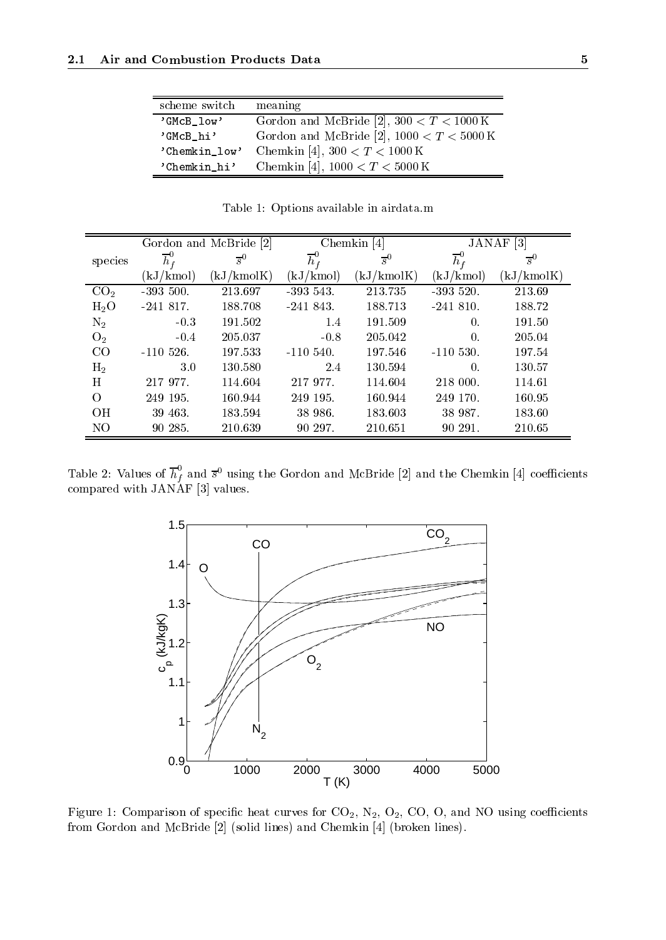| scheme switch | meaning                                            |
|---------------|----------------------------------------------------|
| 'GMcB_low'    | Gordon and McBride [2], $300 < T < 1000 \text{ K}$ |
| 'GMcB_hi'     | Gordon and McBride [2], $1000 < T < 5000$ K        |
| 'Chemkin_low' | Chemkin [4], $300 < T < 1000$ K                    |
| 'Chemkin_hi'  | Chemkin [4], $1000 < T < 5000$ K                   |

Table 1: Options available in airdata.m

|                 | Gordon and McBride [2] |                  |                    | Chemkin $[4]$ | JANAF <sup>[3]</sup> |             |  |
|-----------------|------------------------|------------------|--------------------|---------------|----------------------|-------------|--|
| species         | $\overline{h}_f^0$     | $\overline{s}^0$ | $\overline{h}_f^0$ | $\bar{s}^0$   | $\overline{h}_f^0$   | $\bar{s}^0$ |  |
|                 | (kJ/kmol)              | (kJ/kmolK)       | (kJ/kmol)          | (kJ/kmolK)    | (kJ/kmol)            | (kJ/kmolK)  |  |
| CO <sub>2</sub> | $-393500.$             | 213.697          | $-393$ 543.        | 213.735       | $-393520.$           | 213.69      |  |
| $H_2O$          | $-241817.$             | 188.708          | $-241843.$         | 188.713       | $-241810.$           | 188.72      |  |
| $\rm N_2$       | $-0.3$                 | 191.502          | 1.4                | 191.509       | $\Omega$ .           | 191.50      |  |
| O <sub>2</sub>  | $-0.4$                 | 205.037          | $-0.8$             | 205.042       | $\Omega$ .           | 205.04      |  |
| CO              | $-110526$ .            | 197.533          | $-110,540.$        | 197.546       | $-110530.$           | 197.54      |  |
| $H_2$           | 3.0                    | 130.580          | 2.4                | 130.594       | $\Omega$ .           | 130.57      |  |
| H               | 217 977.               | 114.604          | 217 977.           | 114.604       | 218 000.             | 114.61      |  |
| $\Omega$        | 249 195.               | 160.944          | 249 195.           | 160.944       | 249 170.             | 160.95      |  |
| <b>OH</b>       | 39 463.                | 183.594          | 38 986.            | 183.603       | 38 987.              | 183.60      |  |
| NO              | 90 285.                | 210.639          | 90 297.            | 210.651       | 90 291.              | 210.65      |  |

Table 2: Values of  $h_f$  and  $\bar{s}^0$  using the Gordon and McBride [2] and the Chemkin [4] coefficients compared with JANAF [3] values. The second with JANAF [3] values. The second with JANAF [3] values. The second with JANAF [3] values. The second with JANAF [3] values. The second with JANAF [3] values. The second with JANA



Figure 1: Comparison of specific heat curves for  $CO_2$ ,  $N_2$ ,  $O_2$ ,  $CO$ ,  $O$ , and NO using coefficients from Gordon and McBride [2] (solid lines) and Chemkin [4] (broken lines).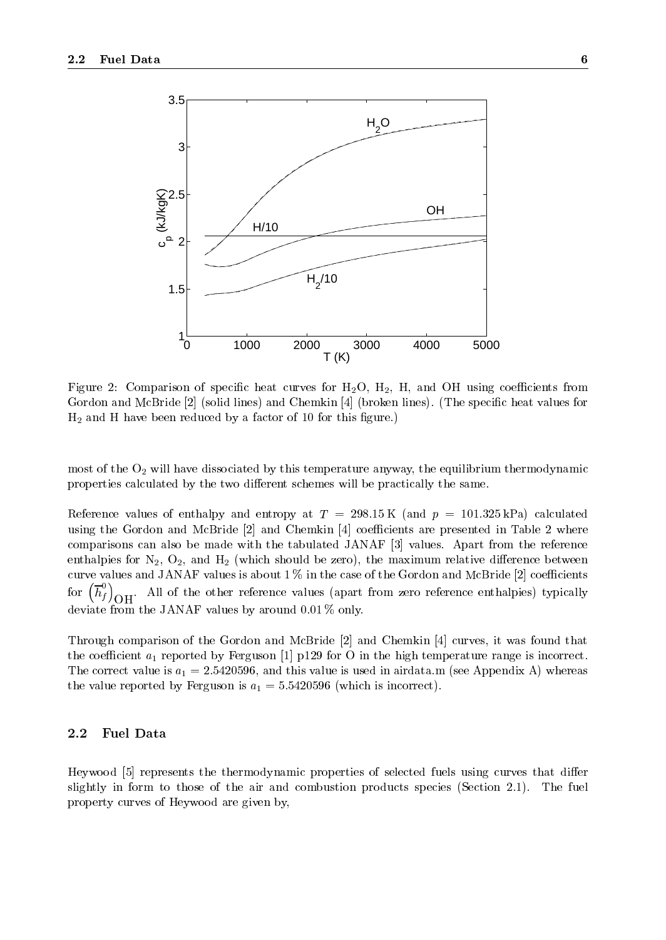

Figure 2: Comparison of specific heat curves for  $H_2O$ ,  $H_2$ ,  $H$ , and OH using coefficients from Gordon and McBride [2] (solid lines) and Chemkin [4] (broken lines). (The specific heat values for  $H_2$  and H have been reduced by a factor of 10 for this figure.)

most of the  $O_2$  will have dissociated by this temperature anyway, the equilibrium thermodynamic properties calculated by the two different schemes will be practically the same.

Reference values of enthalpy and entropy at  $T = 298.15 \text{ K}$  (and  $p = 101.325 \text{ kPa}$ ) calculated using the Gordon and McBride  $[2]$  and Chemkin  $[4]$  coefficients are presented in Table 2 where comparisons can also be made with the tabulated JANAF [3] values. Apart from the reference enthalpies for  $N_2$ ,  $O_2$ , and  $H_2$  (which should be zero), the maximum relative difference between curve values and JANAF values is about  $1\%$  in the case of the Gordon and McBride [2] coefficients for  $\left(\overline{h}_f^0\right)_{\text{OH}}$ . All of the other reference values (apart from zero reference enthalpies) typically deviative from the JANAF values by an only around 0.01 % only.

Through comparison of the Gordon and McBride [2] and Chemkin [4] curves, it was found that the coefficient  $a_1$  reported by Ferguson [1] p129 for O in the high temperature range is incorrect. The correct value is  $a_1 = 2.5420596$ , and this value is used in airdata.m (see Appendix A) whereas the value reported by Ferguson is  $a_1 = 5.5420596$  (which is incorrect).

### 2.2 Fuel Data

Heywood [5] represents the thermodynamic properties of selected fuels using curves that differ slightly in form to those of the air and combustion products species (Section 2.1). The fuel property curves of Heywood are given by,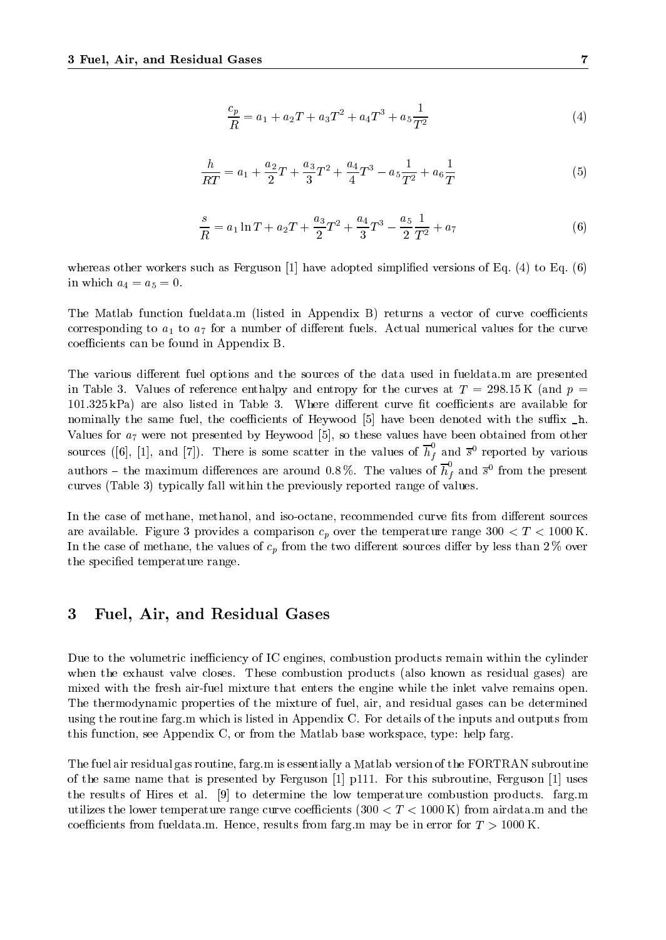$$
\frac{c_p}{R} = a_1 + a_2 T + a_3 T^2 + a_4 T^3 + a_5 \frac{1}{T^2}
$$
\n<sup>(4)</sup>

$$
\frac{h}{RT} = a_1 + \frac{a_2}{2}T + \frac{a_3}{3}T^2 + \frac{a_4}{4}T^3 - a_5\frac{1}{T^2} + a_6\frac{1}{T}
$$
\n<sup>(5)</sup>

$$
\frac{s}{R} = a_1 \ln T + a_2 T + \frac{a_3}{2} T^2 + \frac{a_4}{3} T^3 - \frac{a_5}{2} \frac{1}{T^2} + a_7 \tag{6}
$$

whereas other workers such as Ferguson  $[1]$  have adopted simplified versions of Eq.  $(4)$  to Eq.  $(6)$ in which  $a_4 = a_5 = 0$ .

The Matlab function fueldata.m (listed in Appendix B) returns a vector of curve coefficients corresponding to  $a_1$  to  $a_7$  for a number of different fuels. Actual numerical values for the curve coefficients can be found in Appendix B.

The various different fuel options and the sources of the data used in fueldata.m are presented in Table 3. Values of reference enthalpy and entropy for the curves at  $T = 298.15 \text{ K}$  (and  $p =$  $101.325$  kPa) are also listed in Table 3. Where different curve fit coefficients are available for nominally the same fuel, the coefficients of Heywood  $[5]$  have been denoted with the suffix  $\_h$ . Values for  $a_7$  were not presented by Heywood [5], so these values have been obtained from other sources ([6], [1], and [7]). There is some scatter in the values of  $h_f$  and  $\bar{s}^0$  reported by various authors – the maximum differences are around 0.8%. The values of  $h_f$  and  $\bar{s}^0$  from the present curves (Table 3) typically fall within the previously reported range of values.

In the case of methane, methanol, and iso-octane, recommended curve fits from different sources are available. Figure 3 provides a comparison  $c_p$  over the temperature range 300  $\lt T \lt 1000$  K. In the case of methane, the values of  $c_p$  from the two different sources differ by less than 2 % over the specified temperature range.

### 3 Fuel, Air, and Residual Gases

Due to the volumetric inefficiency of IC engines, combustion products remain within the cylinder when the exhaust valve closes. These combustion products (also known as residual gases) are mixed with the fresh air-fuel mixture that enters the engine while the inlet valve remains open. The thermodynamic properties of the mixture of fuel, air, and residual gases can be determined using the routine farg.m which is listed in Appendix C. For details of the inputs and outputs from this function, see Appendix C, or from the Matlab base workspace, type: help farg.

The fuel air residual gas routine, farg.m is essentially a Matlab version of the FORTRAN subroutine of the same name that is presented by Ferguson [1] p111. For this subroutine, Ferguson [1] uses the results of Hires et al. [9] to determine the low temperature combustion products. farg.m utilizes the lower temperature range curve coefficients  $(300 < T < 1000 \text{ K})$  from airdata.m and the coefficients from fueldata.m. Hence, results from farg.m may be in error for  $T > 1000$  K.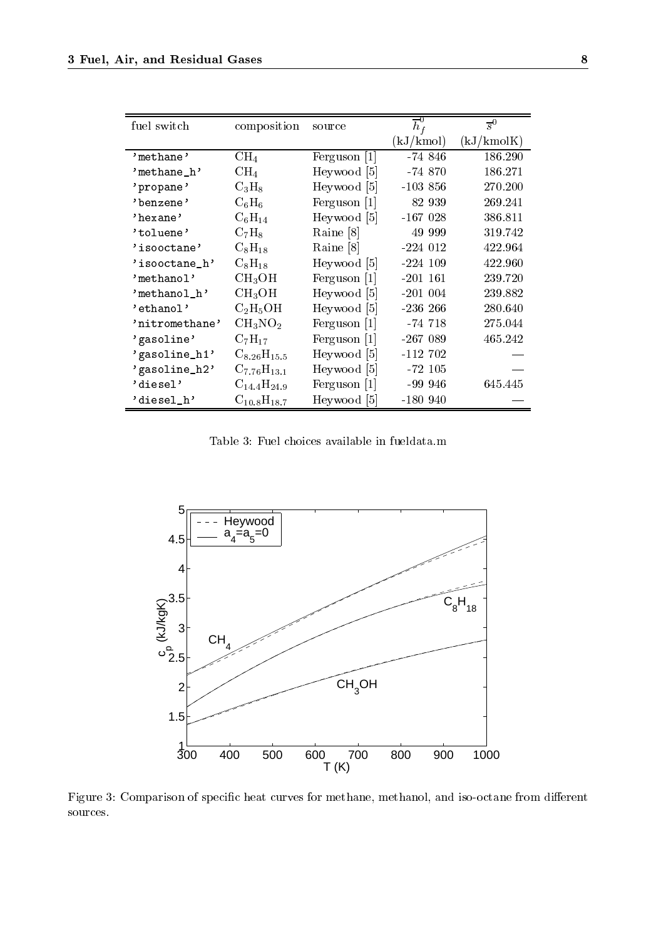| fuel switch      | composition        | source       | $\overline{h}_f^0$ | $\overline{s}^0$ |
|------------------|--------------------|--------------|--------------------|------------------|
|                  |                    |              | (kJ/kmol)          | (kJ/kmolK)       |
| $'$ me thane $'$ | $\rm CH_{4}$       | Ferguson [1] | $-74846$           | 186.290          |
| $'methane_h'$    | $\rm CH_{4}$       | Heywood [5]  | $-74870$           | 186.271          |
| 'propane'        | $C_3H_8$           | Heywood [5]  | $-10386$           | 270.200          |
| 'benzene'        | $\mathrm{C_6H_6}$  | Ferguson [1] | 82 939             | 269.241          |
| 'hexane'         | $C_6H_{14}$        | Heywood [5]  | $-167028$          | 386.811          |
| 'toluene'        | $C_7H_8$           | Raine [8]    | 49 999             | 319.742          |
| 'isooctane'      | $C_8H_{18}$        | Raine [8]    | $-224012$          | 422.964          |
| 'isooctane_h'    | $C_8H_{18}$        | Heywood [5]  | $-224$ 109         | 422.960          |
| 'methano1'       | CH <sub>3</sub> OH | Ferguson [1] | $-201$ 161         | 239.720          |
| 'methanol_h'     | $\rm CH_{3}OH$     | Heywood [5]  | $-201004$          | 239.882          |
| 'ethanol'        | $\rm{C_2H_5OH}$    | Heywood [5]  | $-236\,266$        | 280.640          |
| 'nitromethane'   | $CH_3NO_2$         | Ferguson  1  | -74 718            | 275.044          |
| 'gasoline'       | $C_7H_{17}$        | Ferguson [1] | $-267089$          | 465.242          |
| 'gasoline_h1'    | $C_{8.26}H_{15.5}$ | Heywood [5]  | $-112,702$         |                  |
| 'gasoline_h2'    | $C_{7.76}H_{13.1}$ | Heywood [5]  | $-72\;105$         |                  |
| 'diesel'         | $C_{14.4}H_{24.9}$ | Ferguson [1] | $-999946$          | 645.445          |
| 'diesel_h'       | $C_{10,8}H_{18,7}$ | Heywood [5]  | $-180940$          |                  |

Table 3: Fuel choices available in fueldata.m



Figure 3: Comparison of specific heat curves for methane, methanol, and iso-octane from different sources.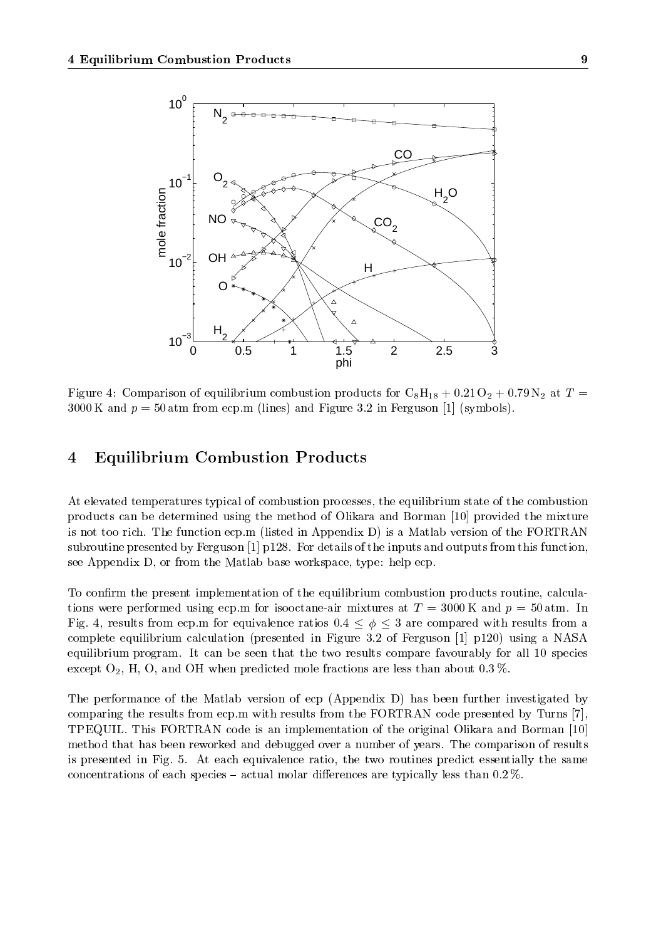

Figure 4: Comparison of equilibrium combustion products for  $C_8H_{18} + 0.21O_2 + 0.79N_2$  at  $T =$ 3000 K and  $p = 50$  atm from ecp.m (lines) and Figure 3.2 in Ferguson [1] (symbols).

### 4 Equilibrium Combustion Products

At elevated temperatures typical of combustion processes, the equilibrium state of the combustion products can be determined using the method of Olikara and Borman [10] provided the mixture is not too rich. The function ecp.m (listed in Appendix D) is a Matlab version of the FORTRAN subroutine presented by Ferguson [1] p128. For details of the inputs and outputs from this function, see Appendix D, or from the Matlab base workspace, type: help ecp.

To confirm the present implementation of the equilibrium combustion products routine, calculations were performed using ecp.m for isooctane-air mixtures at  $T = 3000 \text{ K}$  and  $p = 50 \text{ atm}$ . In Fig. 4, results from ecp.m for equivalence ratios  $0.4 \le \phi \le 3$  are compared with results from a complete equilibrium calculation (presented in Figure 3.2 of Ferguson [1] p120) using a NASA equilibrium program. It can be seen that the two results compare favourably for all 10 species except  $O_2$ , H, O, and OH when predicted mole fractions are less than about 0.3 %.

The performance of the Matlab version of ecp (Appendix D) has been further investigated by comparing the results from ecp.m with results from the FORTRAN code presented by Turns [7], TPEQUIL. This FORTRAN code is an implementation of the original Olikara and Borman [10] method that has been reworked and debugged over a number of years. The comparison of results is presented in Fig.5. At each equivalence ratio, the two routines predict essentially the same concentrations of each species  $-$  actual molar differences are typically less than 0.2 %.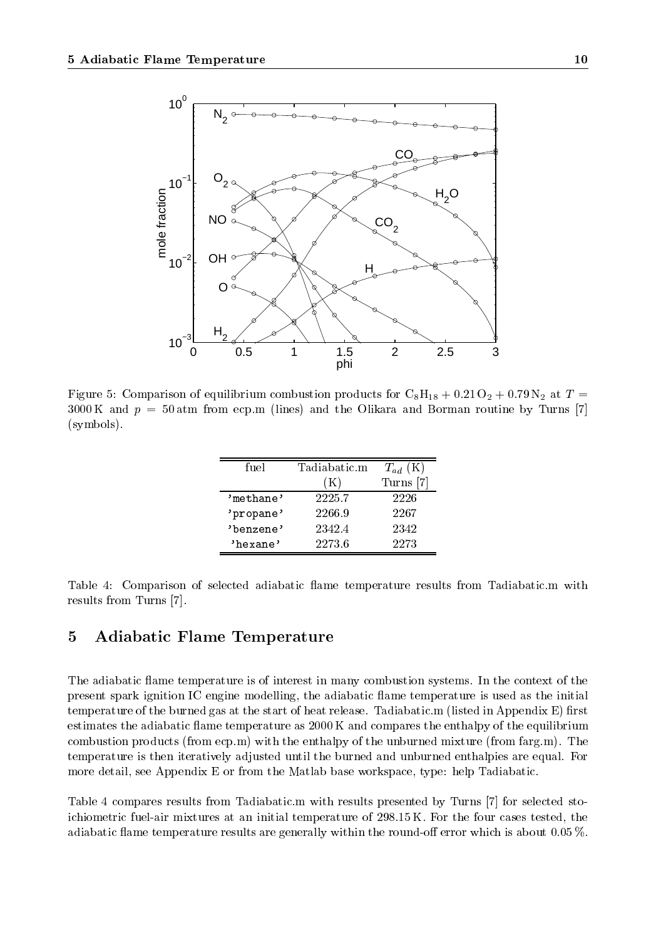

Figure 5: Comparison of equilibrium combustion products for  $C_8H_{18} + 0.21O_2 + 0.79N_2$  at  $T =$  $3000 \text{ K}$  and  $p = 50 \text{ atm}$  from ecp.m (lines) and the Olikara and Borman routine by Turns [7] (symbols).

| fuel      | Tadiabatic.m   | $T_{ad}$ (K) |
|-----------|----------------|--------------|
|           | $(\mathrm{K})$ | Turns        |
| 'methane' | 2225.7         | 2226         |
| 'propane' | 2266.9         | 2267         |
| 'benzene' | 2342.4         | 2342         |
| 'hexane'  | 2273.6         | 2273         |

Table 4: Comparison of selected adiabatic flame temperature results from Tadiabatic.m with results from Turns [7].

### 5 Adiabatic Flame Temperature

The adiabatic flame temperature is of interest in many combustion systems. In the context of the present spark ignition IC engine modelling, the adiabatic flame temperature is used as the initial temperature of the burned gas at the start of heat release. Tadiabatic  $m$  (listed in Appendix E) first estimates the adiabatic flame temperature as  $2000 \text{ K}$  and compares the enthalpy of the equilibrium combustion products (from ecp.m) with the enthalpy of the unburned mixture (from farg.m). The temperature is then iteratively adjusted until the burned and unburned enthalpies are equal. For more detail, see Appendix E or from the Matlab base workspace, type: help Tadiabatic.

Table 4 compares results from Tadiabatic.m with results presented by Turns [7] for selected stoichiometric fuel-air mixtures at an initial temperature of 298.15 K. For the four cases tested, the adiabatic flame temperature results are generally within the round-off error which is about 0.05 %.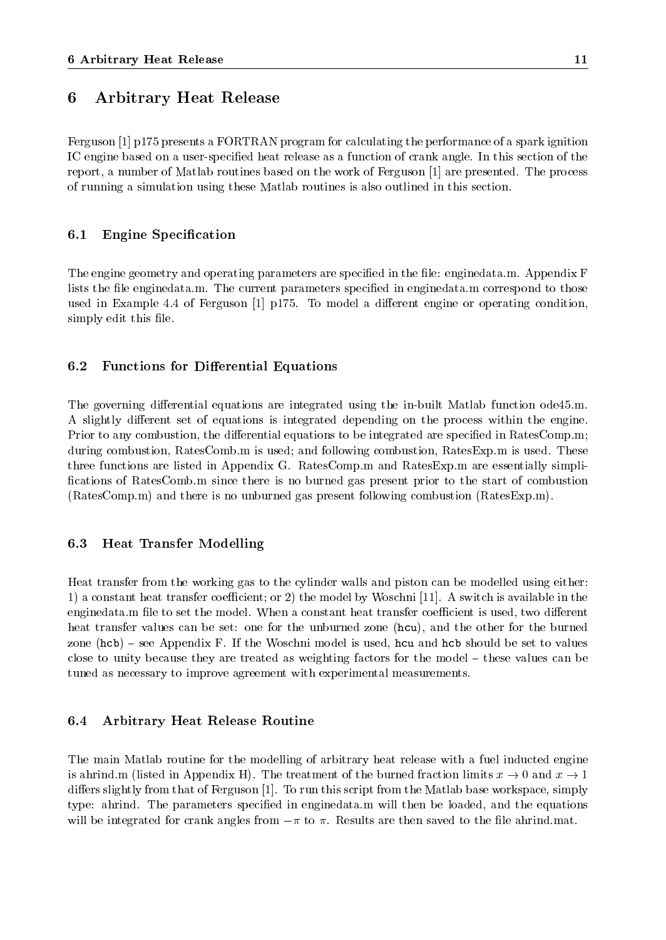### 6 Arbitrary Heat Release

Ferguson [1] p175 presents a FORTRAN program for calculating the performance of a spark ignition IC engine based on a user-specified heat release as a function of crank angle. In this section of the report, a number of Matlab routines based on the work of Ferguson [1] are presented. The process of running a simulation using these Matlab routines is also outlined in this section.

### 6.1 Engine Specification

The engine geometry and operating parameters are specified in the file: enginedata.m. Appendix F lists the file enginedata.m. The current parameters specified in enginedata.m correspond to those used in Example 4.4 of Ferguson  $\lceil 1 \rceil$  p175. To model a different engine or operating condition, simply edit this file.

### 6.2 Functions for Differential Equations

The governing differential equations are integrated using the in-built Matlab function ode45.m. A slightly different set of equations is integrated depending on the process within the engine. Prior to any combustion, the differential equations to be integrated are specified in RatesComp.m; during combustion, RatesComb.m is used; and following combustion, RatesExp.m is used. These three functions are listed in Appendix G. RatesComp.m and RatesExp.m are essentially simpli fications of RatesComb.m since there is no burned gas present prior to the start of combustion (RatesComp.m) and there is no unburned gas present following combustion (RatesExp.m).

#### 6.3 **Heat Transfer Modelling**

Heat transfer from the working gas to the cylinder walls and piston can be modelled using either: 1) a constant heat transfer coefficient; or 2) the model by Woschni [11]. A switch is available in the enginedata.m file to set the model. When a constant heat transfer coefficient is used, two different heat transfer values can be set: one for the unburned zone (hcu), and the other for the burned zone  $(hcb)$  – see Appendix F. If the Woschni model is used, hou and hob should be set to values close to unity because they are treated as weighting factors for the model  $-$  these values can be tuned as necessary to improve agreement with experimental measurements.

#### 6.4 6.4 Arbitrary Heat Release Routine

The main Matlab routine for the modelling of arbitrary heat release with a fuel inducted engine is ahrind.m (listed in Appendix H). The treatment of the burned fraction limits  $x \to 0$  and  $x \to 1$ differs slightly from that of Ferguson  $[1]$ . To run this script from the Matlab base workspace, simply type: ahrind. The parameters specied in enginedata.m will then be loaded, and the equations will be integrated for crank angles from  $-\pi$  to  $\pi$ . Results are then saved to the file ahrind.mat.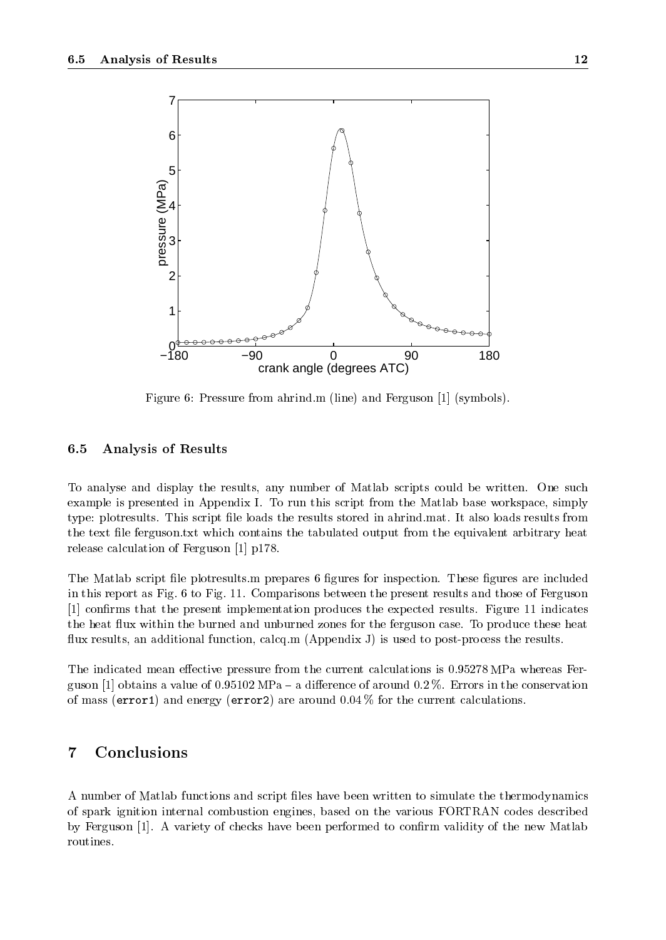

Figure 6: Pressure from ahrind.m (line) and Ferguson [1] (symbols).

### 6.5 Analysis of Results

To analyse and display the results, any number of Matlab scripts could be written. One such example is presented in Appendix I. To run this script from the Matlab base workspace, simply type: plotresults. This script file loads the results stored in ahrind.mat. It also loads results from the text file ferguson.txt which contains the tabulated output from the equivalent arbitrary heat release calculation of Ferguson [1] p178.

The Matlab script file plotresults m prepares 6 figures for inspection. These figures are included in this report as Fig. 6 to Fig. 11. Comparisons between the present results and those of Ferguson [1] confirms that the present implementation produces the expected results. Figure 11 indicates the heat flux within the burned and unburned zones for the ferguson case. To produce these heat flux results, an additional function, calcq.m (Appendix J) is used to post-process the results.

The indicated mean effective pressure from the current calculations is 0.95278 MPa whereas Ferguson [1] obtains a value of 0.95102 MPa – a difference of around 0.2 %. Errors in the conservation of mass (error1) and energy (error2) are around  $0.04\%$  for the current calculations.

#### $\overline{7}$ **Conclusions**

A number of Matlab functions and script files have been written to simulate the thermodynamics of spark ignition internal combustion engines, based on the various FORTRAN codes described by Ferguson [1]. A variety of checks have been performed to confirm validity of the new Matlab routines.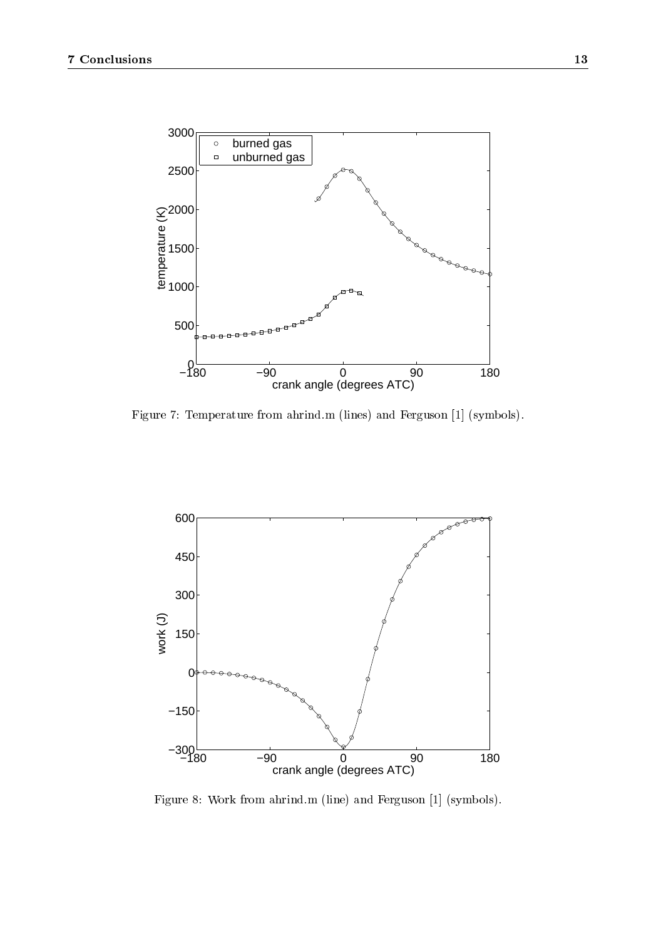

Figure 7: Temperature from ahrind.m (lines) and Ferguson [1] (symbols).



Figure 8: Work from ahrind.m (line) and Ferguson [1] (symbols).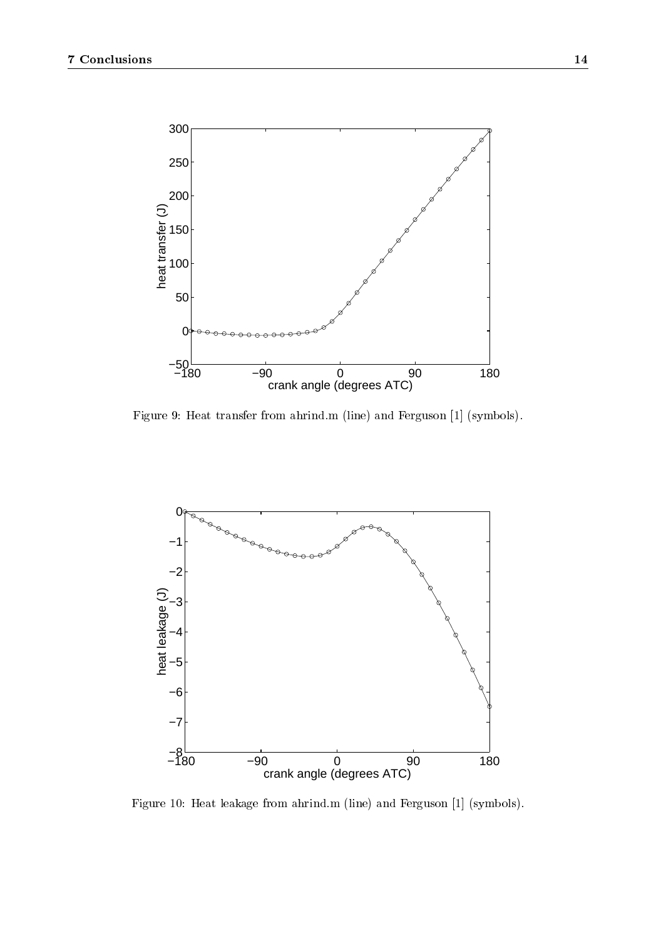

Figure 9: Heat transfer from ahrind.m (line) and Ferguson [1] (symbols).



Figure 10: Heat leakage from ahrind.m (line) and Ferguson [1] (symbols).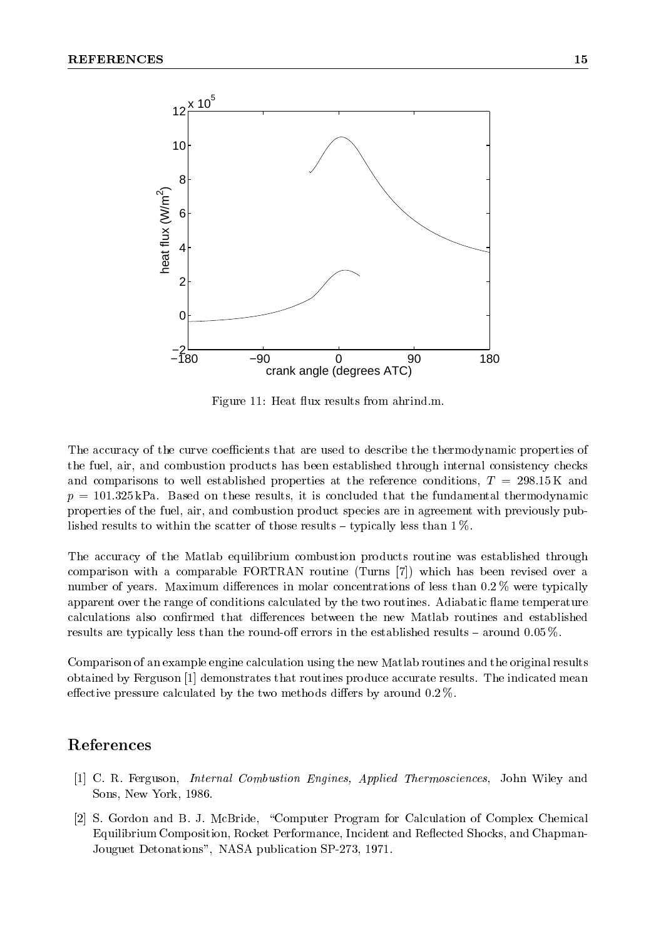

Figure 11: Heat flux results from ahrind.m.

The accuracy of the curve coefficients that are used to describe the thermodynamic properties of the fuel, air, and combustion products has been established through internal consistency checks and comparisons to well established properties at the reference conditions,  $T = 298.15 \text{ K}$  and  $p = 101.325$  kPa. Based on these results, it is concluded that the fundamental thermodynamic properties of the fuel, air, and combustion product species are in agreement with previously published results to within the scatter of those results  $-$  typically less than 1 %.

The accuracy of the Matlab equilibrium combustion products routine was established through comparison with a comparable FORTRAN routine (Turns [7]) which has been revised over a number of years. Maximum differences in molar concentrations of less than  $0.2\%$  were typically apparent over the range of conditions calculated by the two routines. Adiabatic flame temperature calculations also confirmed that differences between the new Matlab routines and established results are typically less than the round-off errors in the established results  $-$  around 0.05 %.

Comparison of an example engine calculation using the new Matlab routines and the original results obtained by Ferguson [1] demonstrates that routines produce accurate results. The indicated mean effective pressure calculated by the two methods differs by around  $0.2\%$ .

### References

- [1] C. R. Ferguson, Internal Combustion Engines, Applied Thermosciences, John Wiley and Sons, New York, 1986.
- [2] S. Gordon and B. J. McBride, "Computer Program for Calculation of Complex Chemical Equilibrium Composition, Rocket Performance, Incident and Reflected Shocks, and Chapman-Jouguet Detonations", NASA publication SP-273, 1971.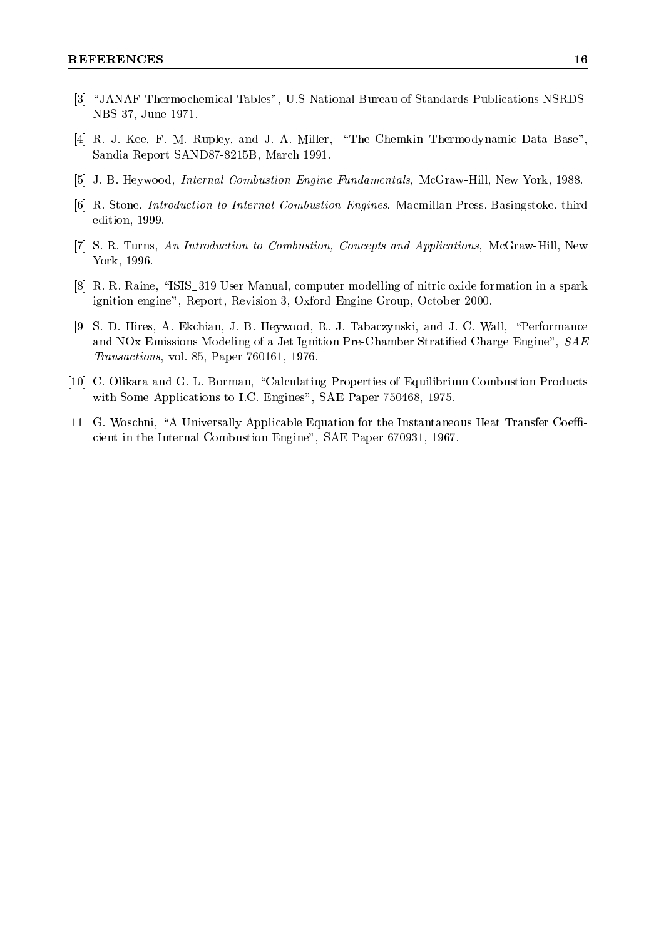- [3] "JANAF Thermochemical Tables", U.S National Bureau of Standards Publications NSRDS-NBS 37, June 1971.
- [4] R. J. Kee, F. M. Rupley, and J. A. Miller, \The Chemkin Thermodynamic Data Base", Sandia Report SAND87-8215B, March 1991.
- [5] J. B. Heywood, Internal Combustion Engine Fundamentals, McGraw-Hill, New York, 1988.
- [6] R. Stone, Introduction to Internal Combustion Engines, Macmillan Press, Basingstoke, third edition, 1999.
- [7] S. R. Turns, An Introduction to Combustion, Concepts and Applications, McGraw-Hill, New York, 1996.
- [8] R. R. Raine, \ISIS\_319 User Manual, computer modelling of nitric oxide formation in a spark ignition engine", Report, Revision 3, Oxford Engine Group, October 2000.
- [9] S. D. Hires, A. Ekchian, J. B. Heywood, R. J. Tabaczynski, and J. C. Wall, \Performance and NOx Emissions Modeling of a Jet Ignition Pre-Chamber Stratified Charge Engine",  $SAE$ Transactions, vol. 85, Paper 760161, 1976.
- [10] C. Olikara and G. L. Borman, "Calculating Properties of Equilibrium Combustion Products with Some Applications to I.C. Engines", SAE Paper 750468, 1975.
- $[11]$  G. Woschni, "A Universally Applicable Equation for the Instantaneous Heat Transfer Coefficient in the Internal Combustion Engine", SAE Paper 670931, 1967.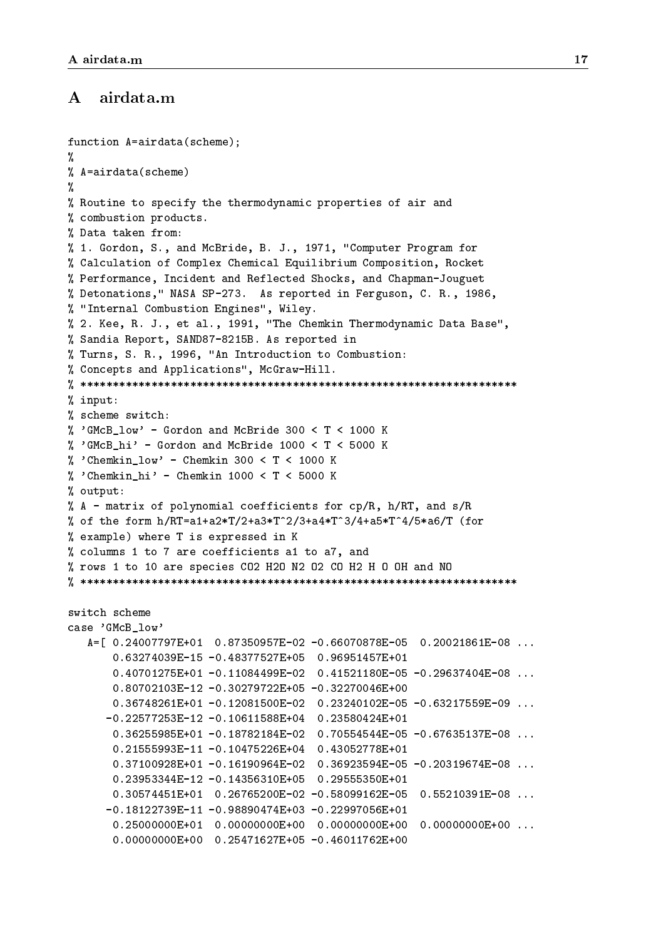#### $\bf{A}$ airdata.m

```
function A=airdata(scheme);
\gamma%
% A=airdata (scheme)
\mathcal{N} as a constructed value of \mathcal{N}%
%
% Routine to specify the thermodynamic properties of air and
% combustion products.
% Data taken from:
% 1. Gordon, S., and McBride, B. J., 1971, "Computer Program for
% Calculation of Complex Chemical Equilibrium Composition, Rocket
% Performance, Incident and Reflected Shocks, and Chapman-Jouguet
% Detonations," NASA SP-273. As reported in Ferguson, C. R., 1986,
% "Internal Combustion Engines", Wiley.
% 2. Kee, R. J., et al., 1991, "The Chemkin Thermodynamic Data Base",
% Sandia Report, SAND87-8215B. As reported in
% Turns, S. R., 1996, "An Introduction to Combustion:
% Concepts and Applications", McGraw-Hill.
% ********************************************************************
% input:
% scheme switch:
% 'GMcB_low' - Gordon and McBride 300 < T < 1000 K
% 'GMcB_hi' - Gordon and McBride 1000 < T < 5000 K
% 'Chemkin low' - Chemkin 300 < T < 1000 K
% 'Chemkin_hi' - Chemkin 1000 < T < 5000 K
% output:
% A - matrix of polynomial coefficients for cp/R, h/RT, and s/R% of the form h/RT=a1+a2*T/2+a3*T^2/3+a4*T^3/4+a5*T^4/5*a6/T (for
% example) where T is expressed in K
% columns 1 to 7 are coefficients a1 to a7, and
% rows 1 to 10 are species CO2 H2O N2 O2 CO H2 H O OH and NO
% ********************************************************************
switch scheme
case 'GMcB_low'
   A=[ 0.24007797E+01 0.87350957E-02 -0.66070878E-05 0.20021861E-08 ...
       0.63274039E-15 -0.48377527E+05 0.96951457E+01
       0.40701275E+01 -0.11084499E-02 0.41521180E-05 -0.29637404E-08 ...
       0.80702103E-12 -0.30279722E+05 -0.32270046E+00
       0.36748261E+01 -0.12081500E-02 0.23240102E-05 -0.63217559E-09 ...
      -0.22577253E-12 -0.10611588E+04 0.23580424E+01
       0.36255985E+01 -0.18782184E-02 0.70554544E-05 -0.67635137E-08 ...
       0.21555993E-11 -0.10475226E+04 0.43052778E+01
       0.37100928E+01 -0.16190964E-02 0.36923594E-05 -0.20319674E-08 ...
       0.23953344E-12 -0.14356310E+05 0.29555350E+01
       0.30574451E+01  0.26765200E-02 -0.58099162E-05  0.55210391E-08  ...
      -0.18122739E-11 -0.98890474E+03 -0.22997056E+01
       0.25000000E+01 0.00000000E+00 0.00000000E+00 0.00000000E+00 ...
       0.00000000E+00 0.25471627E+05 -0.46011762E+00
```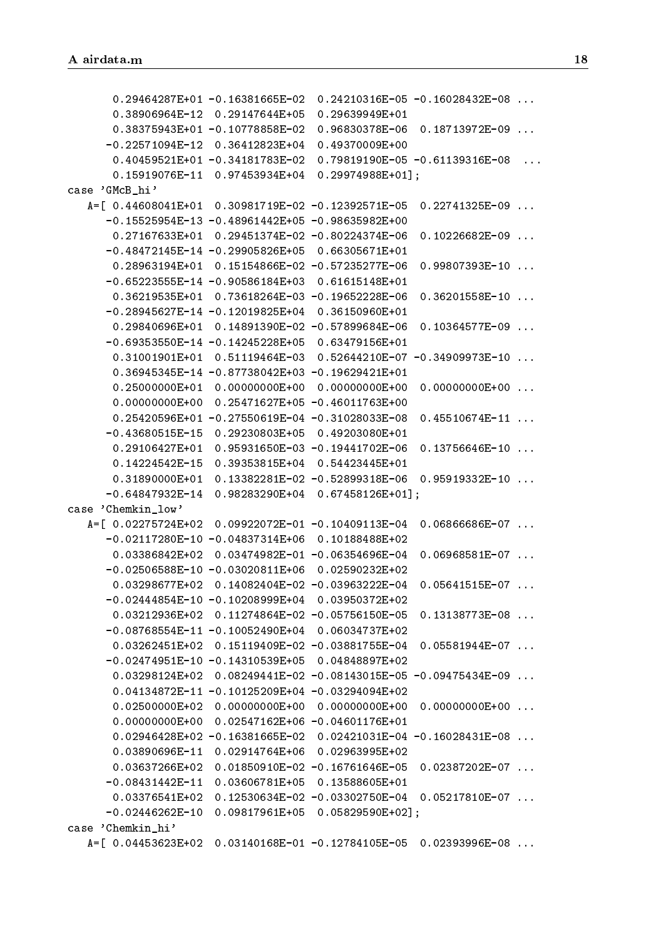0.29464287E+01 -0.16381665E-02 0.24210316E-05 -0.16028432E-08 ... 0.38906964E-12 0.29147644E+05 0.29639949E+01 0.38375943E+01 -0.10778858E-02 0.96830378E-06 0.18713972E-09 ... -0.22571094E-12 0.36412823E+04 0.49370009E+00 0.15919076E-11 0.97453934E+04 0.29974988E+01]; case 'GMcB\_hi' A=[ 0.44608041E+01 0.30981719E-02 -0.12392571E-05 0.22741325E-09 ... -0.15525954E-13 -0.48961442E+05 -0.98635982E+00 0.27167633E+01 0.29451374E-02 -0.80224374E-06 0.10226682E-09 ...  $-0.48472145E-14 -0.29905826E+05 0.66305671E+01$ 0.28963194E+01 0.15154866E-02 -0.57235277E-06 0.99807393E-10 ... -0.65223555E-14 -0.90586184E+03 0.61615148E+01 0.36219535E+01 0.73618264E-03 -0.19652228E-06 0.36201558E-10 ... -0.28945627E-14 -0.12019825E+04 0.36150960E+01 0.29840696E+01 0.14891390E-02 -0.57899684E-06 0.10364577E-09 ... -0.69353550E-14 -0.14245228E+05 0.63479156E+01 0.36945345E-14 -0.87738042E+03 -0.19629421E+01 0.25000000E+01 0.00000000E+00 0.00000000E+00 0.00000000E+00 ... 0.00000000E+00 0.25471627E+05 -0.46011763E+00 0.25420596E+01 -0.27550619E-04 -0.31028033E-08 0.45510674E-11 ... -0.43680515E-15 0.29230803E+05 0.49203080E+01  $0.29106427E+01$  0.95931650E-03 -0.19441702E-06 0.13756646E-10 ... 0.14224542E-15 0.39353815E+04 0.54423445E+01 0.31890000E+01 0.13382281E-02 -0.52899318E-06 0.95919332E-10 ... -0.64847932E-14 0.98283290E+04 0.67458126E+01]; case 'Chemkin\_low' A=[ 0.02275724E+02 0.09922072E-01 -0.10409113E-04 0.06866686E-07 ... -0.02117280E-10 -0.04837314E+06 0.10188488E+02 -0.02506588E-10 -0.03020811E+06 0.02590232E+02 0.03298677E+02 0.14082404E-02 -0.03963222E-04 0.05641515E-07 ... -0.02444854E-10 -0.10208999E+04 0.03950372E+02 0.03212936E+02 0.11274864E-02 -0.05756150E-05 0.13138773E-08 ... -0.08768554E-11 -0.10052490E+04 0.06034737E+02 0.03262451E+02 0.15119409E-02 -0.03881755E-04 0.05581944E-07 ... -0.02474951E-10 -0.14310539E+05 0.04848897E+02 0.03298124E+02 0.08249441E-02 -0.08143015E-05 -0.09475434E-09 ... 0.04134872E-11 -0.10125209E+04 -0.03294094E+02 0.02500000E+02 0.00000000E+00 0.00000000E+00 0.00000000E+00 ... 0.00000000E+00 0.02547162E+06 -0.04601176E+01 0.02946428E+02 -0.16381665E-02 0.02421031E-04 -0.16028431E-08 ... 0.03890696E-11 0.02914764E+06 0.02963995E+02 0.03637266E+02 0.01850910E-02 -0.16761646E-05 0.02387202E-07 ... -0.08431442E-11 0.03606781E+05 0.13588605E+01 0.03376541E+02 0.12530634E-02 -0.03302750E-04 0.05217810E-07 ... -0.02446262E-10 0.09817961E+05 0.05829590E+02]; case 'Chemkin\_hi'  $A = [0.04453623E+02 \t0.03140168E-01 -0.12784105E-05 \t0.02393996E-08 \t...]$  $A=\frac{1}{2}$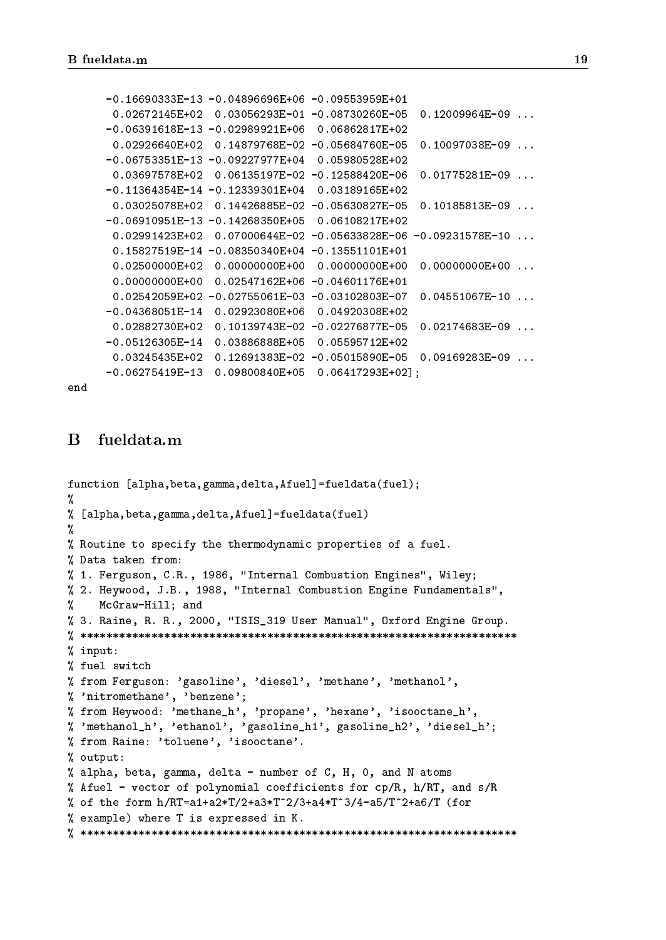```
-0.16690333E-13 -0.04896696E+06 -0.09553959E+01
 0.02672145E+02 0.03056293E-01 -0.08730260E-05 0.12009964E-09 ...
-0.06391618E-13 -0.02989921E+06 0.06862817E+02
 0.02926640E+02 0.14879768E-02 -0.05684760E-05 0.10097038E-09 ...
 0.03697578E+02 0.06135197E-02 -0.12588420E-06 0.01775281E-09 ...
-0.11364354E-14 -0.12339301E+04 0.03189165E+02
 0.03025078E+02 0.14426885E-02 -0.05630827E-05 0.10185813E-09 ...
-0.06910951E-13 -0.14268350E+05 0.06108217E+02
 0.02991423E+02 0.07000644E-02 -0.05633828E-06 -0.09231578E-10 ...
 0.15827519E-14 -0.08350340E+04 -0.13551101E+01
 0.02500000E+02 0.00000000E+00 0.00000000E+00 0.00000000E+00 ...
 0.00000000E+00 0.02547162E+06 -0.04601176E+01
 0.02542059E+02 -0.02755061E-03 -0.03102803E-07 0.04551067E-10 ...
-0.04368051E-14 0.02923080E+06 0.04920308E+02
 0.02882730E+02 0.10139743E-02 -0.02276877E-05 0.02174683E-09 ...
-0.05126305E-14 0.03886888E+05 0.05595712E+02
 0.03245435E+02 0.12691383E-02 -0.05015890E-05 0.09169283E-09 ...
-0.06275419E-13 0.09800840E+05 0.06417293E+02];
```
end

### $\bf{B}$

```
function [alpha,beta,gamma,delta,Afuel]=fueldata(fuel);
%
% [alpha,beta,gamma,delta,Afuel]=fueldata(fuel)
୍ୟୁ
%
% Routine to specify the thermodynamic properties of a fuel.
% Data taken from:
% 1. Ferguson, C.R., 1986, "Internal Combustion Engines", Wiley;
% 2. Heywood, J.B., 1988, "Internal Combustion Engine Fundamentals",
%
   McGraw-Hill; and
% 3. Raine, R. R., 2000, "ISIS_319 User Manual", Oxford Engine Group.
\mathbf{W}% input:
% fuel switch
% from Ferguson: 'gasoline', 'diesel', 'methane', 'methanol',
% 'nitromethane', 'benzene';
% from Heywood: 'methane_h', 'propane', 'hexane', 'isooctane_h',
%'methanol_h', 'ethanol', 'gasoline_h1', gasoline_h2', 'diesel_h';
% from Raine: 'toluene', 'isooctane'.
% output:
% alpha, beta, gamma, delta - number of C, H, 0, and N atoms
% Afuel - vector of polynomial coefficients for cp/R, h/RT, and s/R
% of the form h/RT=a1+a2*T/2+a3*T^2/3+a4*T^3/4-a5/T^2+a6/T (for
% example) where T is expressed in K.
\blacksquare
```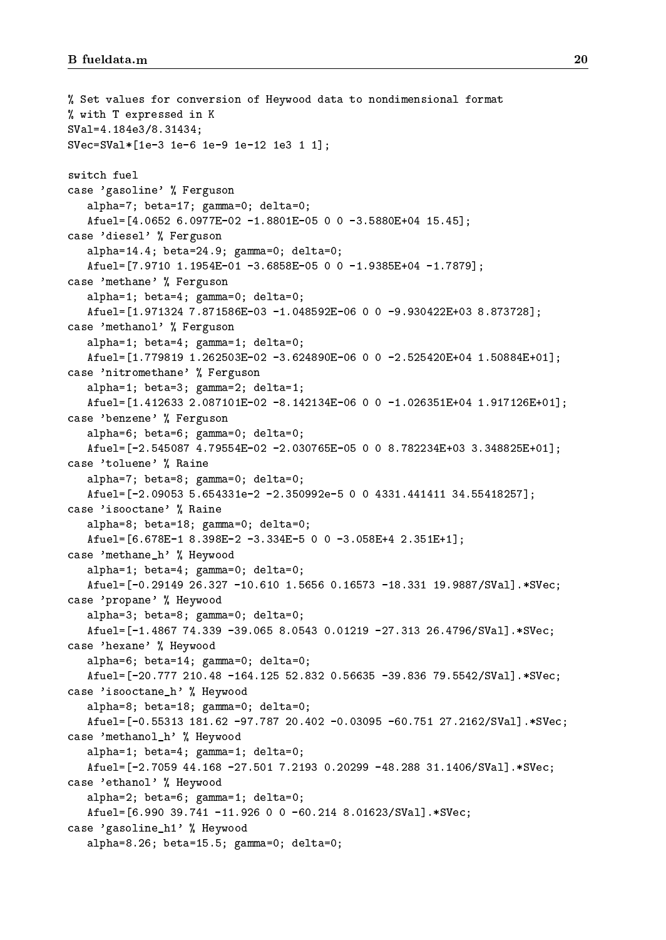```
% Set values for conversion of Heywood data to nondimensional format
% with T expressed in K
SVal=4.184e3/8.31434;
SVec=SVal*[1e-3 1e-6 1e-9 1e-12 1e3 1 1];
switch fuel
case 'gasoline' % Ferguson
   alpha=7; beta=17; gamma=0; delta=0;
   Afuel=[4.0652 6.0977E-02 -1.8801E-05 0 0 -3.5880E+04 15.45];
case 'diesel' % Ferguson
   alpha=14.4; beta=24.9; gamma=0; delta=0;
   Atuel = [7.9710 1.1954E-01 -3.6858E-05 0 0 -1.9385E+04 -1.7879];case 'methane' % Ferguson
   alpha=1; beta=4; gamma=0; delta=0;
   Afuel=[1.971324 7.871586E-03 -1.048592E-06 0 0 -9.930422E+03 8.873728];
case 'methanol' % Ferguson
   alpha=1; beta=4; gamma=1; delta=0;
   Afuel=[1.779819 \ 1.262503E-02 \ -3.624890E-06 \ 0 \ 0 \ -2.525420E+04 \ 1.50884E+01];
case 'nitromethane' % Ferguson
   alpha=1; beta=3; gamma=2; delta=1;
   Afuel=[1.412633 \t2.087101E-02 \t -8.142134E-06 \t 0 \t 0 \t -1.026351E+04 \t 1.917126E+01];case 'benzene' % Ferguson
   alpha=6; beta=6; gamma=0; delta=0;
   Afuel=[-2.545087 4.79554E-02 -2.030765E-05 0 0 8.782234E+03 3.348825E+01];
case 'toluene' % Raine
   alpha=7; beta=8; gamma=0; delta=0;
   Afuel=[-2.09053 5.654331e-2 -2.350992e-5 0 0 4331.441411 34.55418257];
case 'isooctane' % Raine
   alpha=8; beta=18; gamma=0; delta=0;
   Afuel=[6.678E-1 8.398E-2 -3.334E-5 0 0 -3.058E+4 2.351E+1];
case 'methane_h' % Heywood
   alpha=1; beta=4; gamma=0; delta=0;
   Afuel=[-0.29149 26.327 -10.610 1.5656 0.16573 -18.331 19.9887/SVal].*SVec;
case 'propane' % Heywood
   alpha=3; beta=8; gamma=0; delta=0;
   Afuel=[-1.4867 74.339 -39.065 8.0543 0.01219 -27.313 26.4796/SVal].*SVec;
case 'hexane' % Heywood
   alpha=6; beta=14; gamma=0; delta=0;
   Afuel=[-20.777 210.48 -164.125 52.832 0.56635 -39.836 79.5542/SVal].*SVec;
case 'isooctane_h' % Heywood
   alpha=8; beta=18; gamma=0; delta=0;
   Afuel=[-0.55313 181.62 -97.787 20.402 -0.03095 -60.751 27.2162/SVal].*SVec;
case 'methanol_h' % Heywood
   alpha=1; beta=4; gamma=1; delta=0;
   Afuel=[-2.7059 44.168 -27.501 7.2193 0.20299 -48.288 31.1406/SVal].*SVec;
case 'ethanol' % Heywood
   alpha=2; beta=6; gamma=1; delta=0;
   Afuel=[6.990 39.741 -11.926 0 0 -60.214 8.01623/SVal].*SVec;
case 'gasoline_h1' % Heywood
   alpha=8.26; beta=15.5; gamma=0; delta=0;
```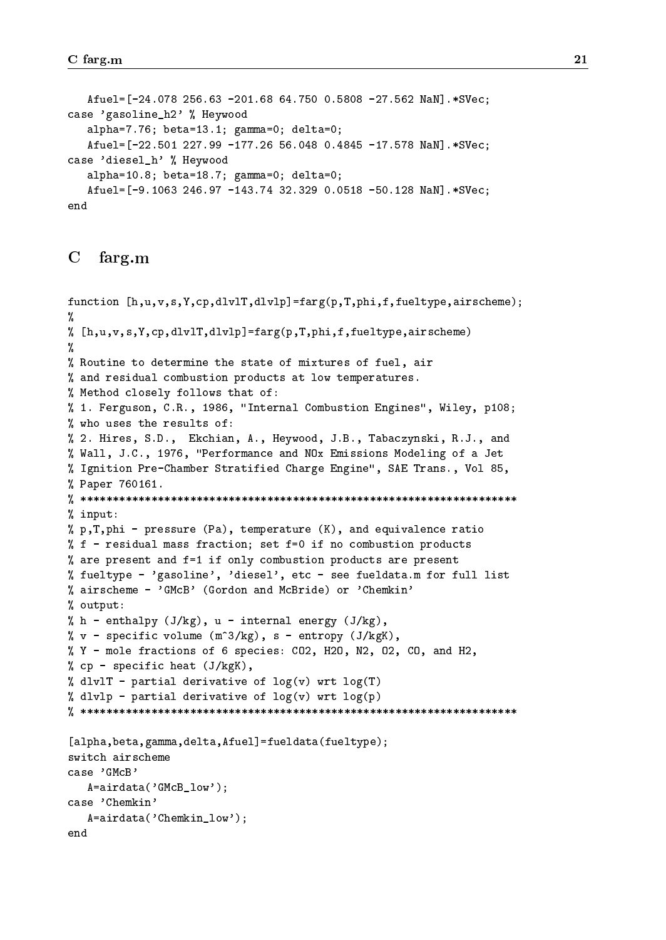Afuel=[-24.078 256.63 -201.68 64.750 0.5808 -27.562 NaN].\*SVec; case 'gasoline\_h2' % Heywood alpha=7.76; beta=13.1; gamma=0; delta=0; Afuel=[-22.501 227.99 -177.26 56.048 0.4845 -17.578 NaN].\*SVec; case 'diesel\_h' % Heywood alpha=10.8; beta=18.7; gamma=0; delta=0; Afuel=[-9.1063 246.97 -143.74 32.329 0.0518 -50.128 NaN].\*SVec; end

#### $\mathbf C$ farg.m

```
function [h,u,v,s,Y,cp,dlvlT,dlvlp]=farg(p,T,phi,f,fueltype,airscheme);
Y.
\mathbf{v}\lambda [h,u,v,s,Y,cp,dlvlT,dlvlp]=farg(p,T,phi,f,fueltype,airscheme)
%
% Routine to determine the state of mixtures of fuel, air
% and residual combustion products at low temperatures.
% Method closely follows that of:
% 1. Ferguson, C.R., 1986, "Internal Combustion Engines", Wiley, p108;
% who uses the results of:
% 2. Hires, S.D., Ekchian, A., Heywood, J.B., Tabaczynski, R.J., and
% Wall, J.C., 1976, "Performance and NOx Emissions Modeling of a Jet
% Ignition Pre-Chamber Stratified Charge Engine", SAE Trans., Vol 85,
% Paper 760161.
% ********************************************************************
% input:
% p,T,phi - pressure (Pa), temperature (K), and equivalence ratio
% f - residual mass fraction; set f = 0 if no combustion products
% are present and f=1 if only combustion products are present
% fueltype - 'gasoline', 'diesel', etc - see fueldata.m for full list
% airscheme - 'GMcB' (Gordon and McBride) or 'Chemkin'
% output:
% h - enthalpy (J/kg), u - internal energy (J/kg),
% v - specific volume (m^3/kg), s - entropy (J/kgK),
% Y - mole fractions of 6 species: CO2, H2O, N2, O2, CO, and H2,
% cp - specific heat (J/kgK),
% dlvlT - partial derivative of log(v) wrt log(T)% dlvlp - partial derivative of log(v) wrt log(p)% ********************************************************************
[alpha,beta,gamma,delta,Afuel]=fueldata(fueltype);
switch airscheme
case 'GMcB'
   A=airdata('GMcB_low');
case 'Chemkin'
   A=airdata('Chemkin_low');
end
```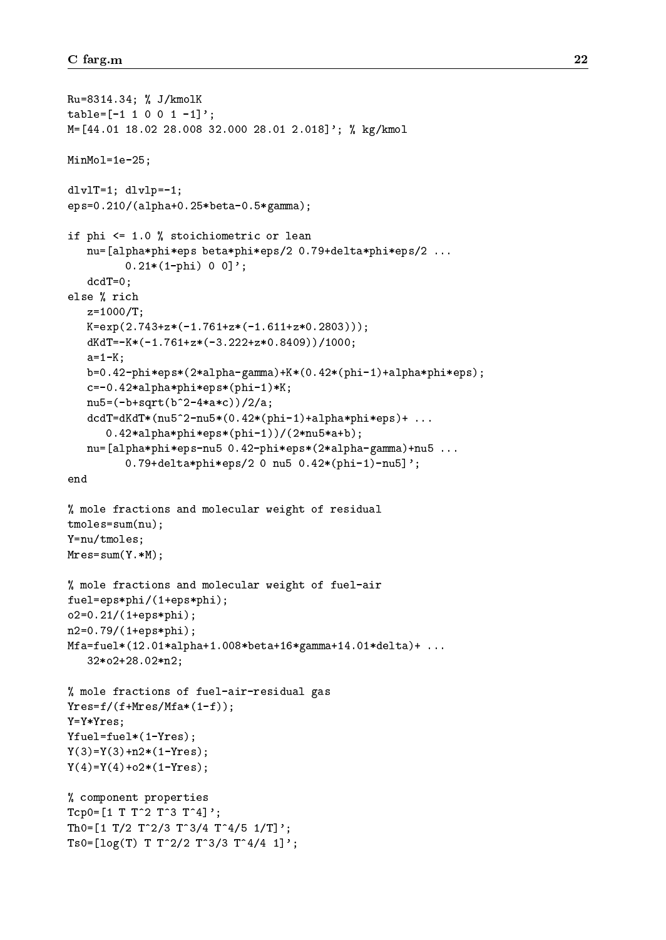```
Ru=8314.34; % J/kmolK
table=[-1 1 0 0 1 -1]';
M=[44.01 18.02 28.008 32.000 28.01 2.018]'; % kg/kmol
MinMol=1e-25;
dlvlT=1; dlvlp=-1;
eps=0.210/(alpha+0.25*beta-0.5*gamma);
if phi <= 1.0 % stoichiometric or lean
   nu=[alpha*phi*eps beta*phi*eps/2 0.79+delta*phi*eps/2 ...
         0.21*(1-phi) 0 0]';
   dcdT=0;
else % rich
   z=1000/T;
   K=exp(2.743+z*(-1.761+z*(-1.611+z*0.2803)));
   dKdT=-K*(-1.761+z*(-3.222+z*0.8409))/1000;
   a=1-K;
   b=0.42-phi*eps*(2*alpha-gamma)+K*(0.42*(phi-1)+alpha*phi*eps);
   c=-0.42*alpha*phi*eps*(phi-1)*K;
   nu5=(-b+sqrt(b^2-4*a*c))/2/a;
   dcdT=dKdT*(nu5^2-nu5*(0.42*(phi-1)+alpha*bhi*eps)+ ...0.42*alpha*phi*eps*(phi-1))/(2*nu5*a+b);
   nu=[alpha*phi*eps-nu5 0.42-phi*eps*(2*alpha-gamma)+nu5 ...
         0.79+delta*phi*eps/2 0 nu5 0.42*(phi-1)-nu5]';
end
% mole fractions and molecular weight of residual
tmoles=sum(nu);
Y=nu/tmoles;
Mres=sum(Y.*M);
% mole fractions and molecular weight of fuel-air
fuel=eps*phi/(1+eps*phi);
o2=0.21/(1+eps*phi);
n2=0.79/(1+eps*phi);
Mfa=fuel*(12.01*alpha+1.008*beta+16*gamma+14.01*delta)+ ...
   32*o2+28.02*n2;
% mole fractions of fuel-air-residual gas
Yres=f/(f+Mres/Mfa*(1-f));Y=Y*Yres;
Yfuel=fuel*(1-Yres);
Y(3)=Y(3)+n2*(1-Yres);Y(4)=Y(4)+o2*(1-Yres);% component properties
Tcp0=[1 T T^2 T^3 T^3 T^4];Th0=[1 \ T/2 \ T^2/3 \ T^3/4 \ T^4/5 \ 1/T]';
Ts0=[\log(T) T T^2/2 T^3/3 T^4/4 1];
```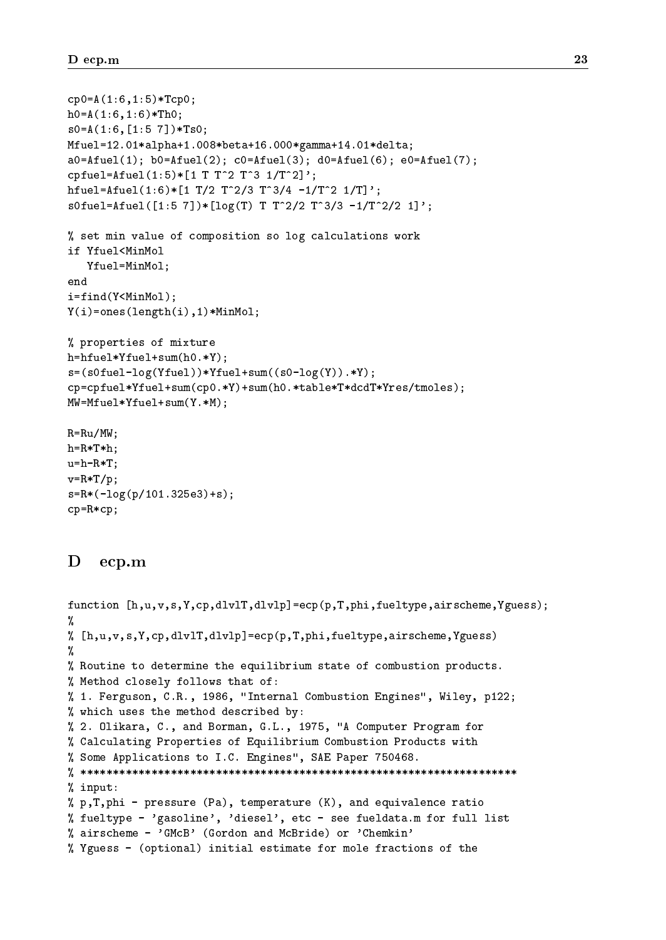```
cp0=A(1:6,1:5)*Tcp0;h0= A(1:6,1:6)*Th0;s0=A(1:6,[1:5 7])*Ts0;
Mfuel=12.01*alpha+1.008*beta+16.000*gamma+14.01*delta;
a0=Atuel(1); b0=Atuel(2); c0=Atuel(3); d0=Atuel(6); e0=Atuel(7);cpfuel=Afuel(1:5)*[1 T T^2 T^3 1/T^2]';
hfuel=Afuel(1:6)*[1 T/2 T<sup>2</sup>/3 T<sup>2</sup>3/4 -1/T<sup>2</sup> 1/T]';
s0fuel=Afuel([1:5 7])*[log(T) T T<sup>o</sup>2/2 T<sup>o</sup>3/3 -1/T<sup>o</sup>2/2 1]';
% set min value of composition so log calculations work
if Yfuel<MinMol
   Yfuel=MinMol;
end
i=find(Y<MinMol);
Y(i)=ones(length(i),1)*MinMol;
% properties of mixture
h=hfuel*Yfuel+sum(h0.*Y);
s=(s0fuel-log(Yfuel))*Yfuel+sum((s0-log(Y)).*Y);
cp=cpfuel*Yfuel+sum(cp0.*Y)+sum(h0.*table*T*dcdT*Yres/tmoles);
MW=Mfuel*Yfuel+sum(Y.*M);
R=Ru/MW;
h=R*T*h:
h=R*T*h;
u=h-R*T;
v=R*T/p;s=R*(-log(p/101.325e3)+s);
```

```
cp=R*cp;
```
#### D ecp.m

```
function [h,u,v,s,Y,cp,dlvlT,dlvlp]=ecp(p,T,phi,fueltype,airscheme,Yguess);
ଂ/
%
% [h,u,v,s,Y,cp,dlvlT,dlvlp]=ecp(p,T,phi,fueltype,airscheme,Yguess)
%
% Routine to determine the equilibrium state of combustion products.
% Method closely follows that of:
% 1. Ferguson, C.R., 1986, "Internal Combustion Engines", Wiley, p122;
% which uses the method described by:
% 2. Olikara, C., and Borman, G.L., 1975, "A Computer Program for
% Calculating Properties of Equilibrium Combustion Products with
% Some Applications to I.C. Engines", SAE Paper 750468.
% ********************************************************************
% input:
% p,T,phi - pressure (Pa), temperature (K), and equivalence ratio
% fueltype - 'gasoline', 'diesel', etc - see fueldata.m for full list
% airscheme - 'GMcB' (Gordon and McBride) or 'Chemkin'
% Yguess - (optional) initial estimate for mole fractions of the
```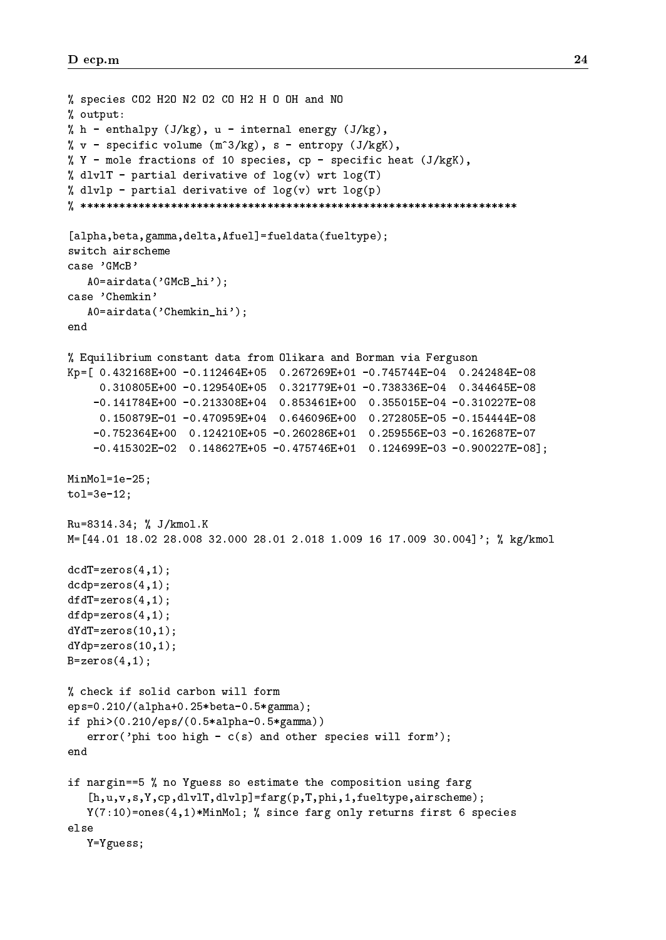```
% species CO2 H2O N2 O2 CO H2 H O OH and NO
% output:
% h - enthalpy (J/kg), u - internal energy (J/kg),
% v - specific volume (m^3/kg), s - entropy (J/kgK),
% Y - mole fractions of 10 species, cp - specific heat (J/kgK),
% dlvlT - partial derivative of log(v) wrt log(T)
% dlvlp - partial derivative of log(v) wrt log(p)
% ********************************************************************
[alpha,beta,gamma,delta,Afuel]=fueldata(fueltype);
switch airscheme
case 'GMcB'
   A0=airdata('GMcB_hi');
case 'Chemkin'
   A0=airdata('Chemkin_hi');
end
% Equilibrium constant data from Olikara and Borman via Ferguson
Kp=[ 0.432168E+00 -0.112464E+05 0.267269E+01 -0.745744E-04 0.242484E-08
     0.310805E+00 -0.129540E+05 0.321779E+01 -0.738336E-04 0.344645E-08
    -0.141784E+00 -0.213308E+04 0.853461E+00 0.355015E-04 -0.310227E-08
     0.150879E-01 -0.470959E+04 0.646096E+00 0.272805E-05 -0.154444E-08
    -0.752364E+00 0.124210E+05 -0.260286E+01 0.259556E-03 -0.162687E-07
    -0.415302E-02 0.148627E+05 -0.475746E+01 0.124699E-03 -0.900227E-08];
MinMol=1e-25;
tol=3e-12;
Ru=8314.34; % J/kmol.K
M=[44.01 18.02 28.008 32.000 28.01 2.018 1.009 16 17.009 30.004]'; % kg/kmol
dcdT = zeros(4,1);dcdp=zeros(4,1);
dfdT = zeros(4,1);dfdp =zeros(4,1);
dYdT = zeros(10,1);dYdp=zeros(10,1);
B = zeros(4,1);% check if solid carbon will form
eps=0.210/(alpha+0.25*beta-0.5*gamma);
if phi>(0.210/eps/(0.5*alpha-0.5*gamma))
   error('phi too high - c(s) and other species will form');if nargin==5 % no Yguess so estimate the composition using farg
   [h,u,v,s,Y,cp,dlvlT,dlvlp]=farg(p,T,phi,1,fueltype,airscheme);
   Y(7:10)=ones(4,1)*MinMol; % since farg only returns first 6 species
else
   Y=Yguess;
```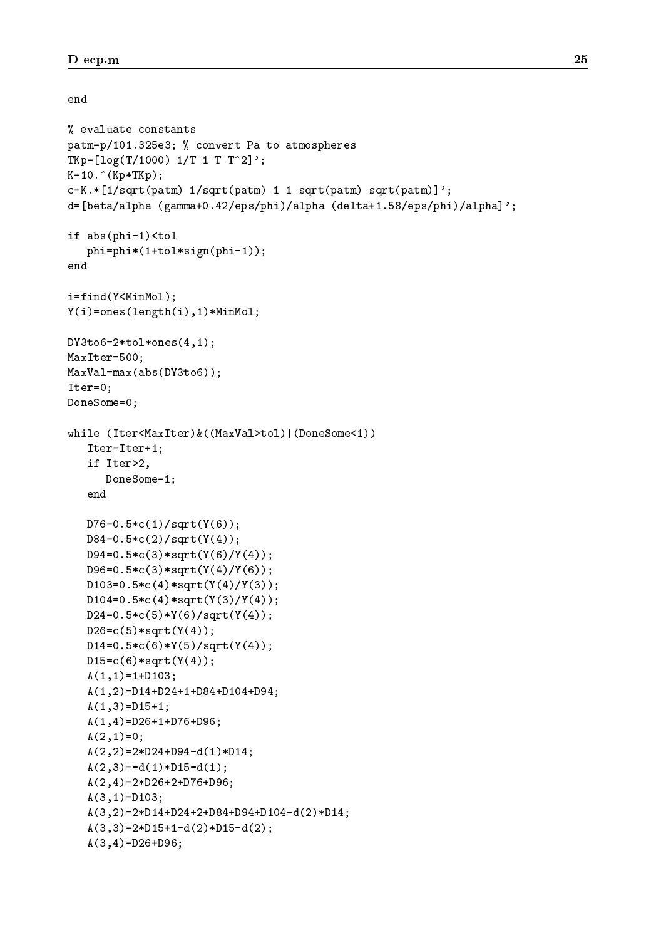end

```
% evaluate constants
patm=p/101.325e3; % convert Pa to atmospheres
TKp=[log(T/1000) 1/T 1 T T^2]';K=10. (Kp*TKp);c=K.*[1/sqrt(patm) 1/sqrt(patm) 1 1 sqrt(patm) sqrt(patm)]';
d=[beta/alpha (gamma+0.42/eps/phi)/alpha (delta+1.58/eps/phi)/alpha]';
if abs(phi-1)<tol
   phi=phi*(1+tol*sign(phi-1));
end
i=find(Y<MinMol);
Y(i)=ones(length(i),1)*MinMol;
DY3to6=2*tol*ones(4,1);MaxIter=500;
MaxVal=max(abs(DY3to6));
Iter=0;
DoneSome=0;
while (Iter<MaxIter)&((MaxVal>tol)|(DoneSome<1))
   Iter=Iter+1:\equiv \cdots \equiv \cdots \equiv \cdotsif Iter>2,
      DoneSome=1;
   end
   D76=0.5*c(1)/sqrt(Y(6));D84=0.5*c(2)/sqrt(Y(4));D94=0.5*c(3)*sqrt(Y(6)/Y(4));
   D96=0.5*c(3)*sqrt(Y(4)/Y(6));D103=0.5*c(4)*sqrt(Y(4)/Y(3));D104=0.5*c(4)*sqrt(Y(3)/Y(4));D24=0.5*c(5)*Y(6)/sqrt(Y(4));D26 = c(5) * sqrt(Y(4));D14=0.5*c(6)*Y(5)/sqrt(Y(4));D15=c(6)*sqrt(Y(4));A(1,1)=1+D103;A(1,2)=D14+D24+1+D84+D104+D94;
   A(1,3) = D15+1;A(1,4)=D26+1+D76+D96;
   A(2,1)=0;A(2,2)=2*D24+D94-d(1)*D14;A(2,3)=-d(1)*D15-d(1);A(2,4)=2*D26+2+D76+D96;
   A(3,1) = D103;A(3,2)=2*D14+D24+2+D84+D94+D104-d(2)*D14;
   A(3,3)=2*D15+1-d(2)*D15-d(2);A(3,4)=D26+D96;
```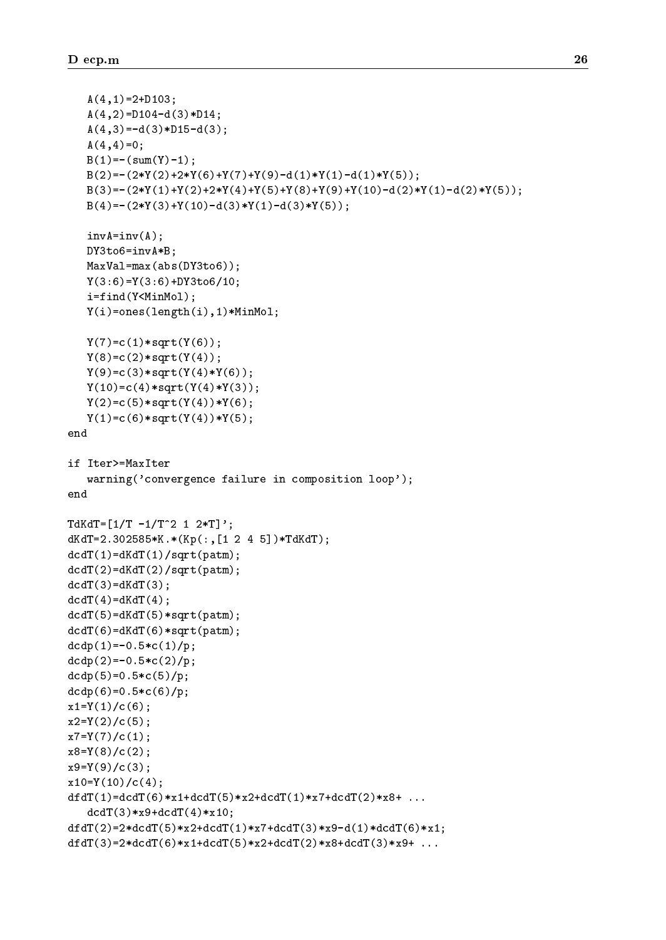```
A(4,1)=2+D103;A(4,2)=D104-d(3)*D14;A(4,3) = -d(3)*D15-d(3);A(4,4)=0;B(1) = - (sum(Y) - 1);B(2) = -(2*Y(2)+2*Y(6)+Y(7)+Y(9)-d(1)*Y(1)-d(1)*Y(5));B(3) = -(2*Y(1)+Y(2)+2*Y(4)+Y(5)+Y(8)+Y(9)+Y(10)-d(2)*Y(1)-d(2)*Y(5));B(4) = -(2*Y(3) + Y(10) - d(3)*Y(1) - d(3)*Y(5));invA=inv(A);DY3to6=invA*B;
   MaxVal=max(abs(DY3to6));
   Y(3:6)=Y(3:6)+DY3to6/10;i=find(Y<MinMol);
   Y(i)=ones(length(i),1)*MinMol;
   Y(7)=c(1)*sqrt(Y(6));Y(8) = c(2) * sqrt(Y(4));Y(9) = c(3) * sqrt(Y(4) * Y(6));Y(10)=c(4)*sqrt(Y(4)*Y(3));Y(2)=c(5)*sqrt(Y(4))*Y(6);Y(1)=c(6)*sqrt(Y(4))*Y(5);end
if Iter>=MaxIter
   warning('convergence failure in composition loop');
end
TdKdT=[1/T -1/T^2 1 2*T]';dKdT=2.302585*K.*(Kp(:,[1 2 4 5])*TdKdT);
dcdT(1)=dKdT(1)/sqrt(patm);dcdT(2)=dKdT(2)/sqrt(patm);dcdT(3)=dKdT(3);dcdT(4) = dKdT(4);
dcdT(5)=dKdT(5)*sqrt(patm);dcdT(6)=dKdT(6)*sqrt(patm);dcdp(1)=-0.5*c(1)/p;
dcdp(2)=-0.5*c(2)/p;dcdp(5)=0.5*c(5)/p;dcdp(6)=0.5*c(6)/p;x1=Y(1)/c(6);x2=Y(2)/c(5);x7=Y(7)/(c(1);x8=Y(8)/(c(2);x9=Y(9)/(c(3);x10=Y(10)/c(4);dfdT(1)=dcdT(6)*x1+dcdT(5)*x2+dcdT(1)*x7+dcdT(2)*x8+ ...
   dcdT(3)*x9+dcdT(4)*x10;dfdT(2)=2*dcdT(5)*x2+dcdT(1)*x7+dcdT(3)*x9-d(1)*dcdT(6)*x1;dfdT(3)=2*dcdT(6)*x1+dcdT(5)*x2+dcdT(2)*x8+dcdT(3)*x9+...
```
define the  $\mathcal{M}$  defined the  $\mathcal{M}$  defined the  $\mathcal{M}$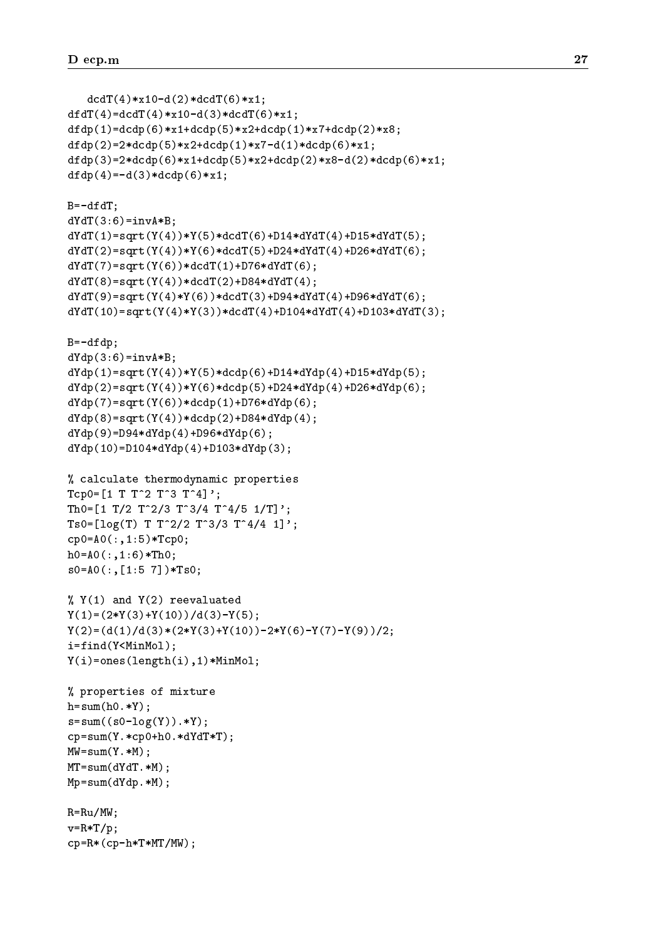```
dcdT(4) * x10-d(2) * dcdT(6) * x1;dfdT(4)=dcdT(4)*x10-d(3)*dcdT(6)*x1;
dfdp(1)=dcdp(6)*x1+dcdp(5)*x2+dcdp(1)*x7+dcdp(2)*x8;dfdp(2)=2*dcdp(5)*x2+dcdp(1)*x7-d(1)*dcdp(6)*x1;dfdp(3)=2*dcdp(6)*x1+dcdp(5)*x2+dcdp(2)*x8-d(2)*dcdp(6)*x1;dfdp(4)=-d(3)*dcdp(6)*x1;
B=-dfdT;dYdT(3:6) = invA*B;dYdT(1)=sqrt(Y(4))*Y(5)*dcdT(6)+D14*dYdT(4)+D15*dYdT(5);dYdT(2)=sqrt(Y(4))*Y(6)*dcdT(5)+D24*dYdT(4)+D26*dYdT(6);dYdT(7)=sqrt(Y(6)) * dcdT(1) + D76*dYdT(6);dYdT(8)=sqrt(Y(4)) * dcdT(2) + D84 * dYdT(4);dYdT(9) = sqrt(Y(4)*Y(6)) * dcdT(3) + D94*dYdT(4) + D96*dYdT(6);dYdT(10)=sqrt(Y(4)*Y(3))*dcdT(4)+D104*dYdT(4)+D103*dYdT(3);B=-dfdp;dYdp(3:6)=invA*B;dYdp(1)=sqrt(Y(4))*Y(5)*dcdp(6)+D14*dYdp(4)+D15*dYdp(5);dYdp(2) = sqrt(Y(4)) * Y(6) * dcdp(5) + D24 * dYdp(4) + D26 * dYdp(6);dYdp(7) = sqrt(Y(6)) * dcdp(1) + D76 * dYdp(6);dYdp(8) = sqrt(Y(4)) * dcdp(2) + D84 * dYdp(4);dYdp(9) = D94*dYdp(4) + D96*dYdp(6);dYdp(10)=D104*dYdp(4)+D103*dYdp(3);% calculate thermodynamic properties
Tcp0=[1 T T^2 T^3 T^3 T^4];Th0=[1 \ T/2 \ T^2/3 \ T^3/4 \ T^4/5 \ 1/T]';
Ts0=[log(T) T T^2/2 T^3/3 T^4/4 1]';
cp0=A0(:,1:5)*Tcp0;
h0=AO(:,1:6)*Th0;s0=A0(:,[1:5 7])*Ts0;
\frac{9}{6} Y(1) and Y(2) reevaluated
Y(1)=(2*Y(3)+Y(10))/d(3)-Y(5);Y(2)=(d(1)/d(3)*(2*Y(3)+Y(10))-2*Y(6)-Y(7)-Y(9))/2;i=find(Y<MinMol);
Y(i)=ones(length(i),1)*MinMol;
% properties of mixture
h=sum(h0.*Y);s = sum((s0 - log(Y)).*Y);cp=sum(Y.*cp0+h0.*dYdT*T);
MW=sum(Y.*M);MT=sum(dYdT.*M);
Mp=sum(dYdp.*M);
R=Ru/MW;
v=R*T/p;cp=R*(cp-h*T*MT/MW);
```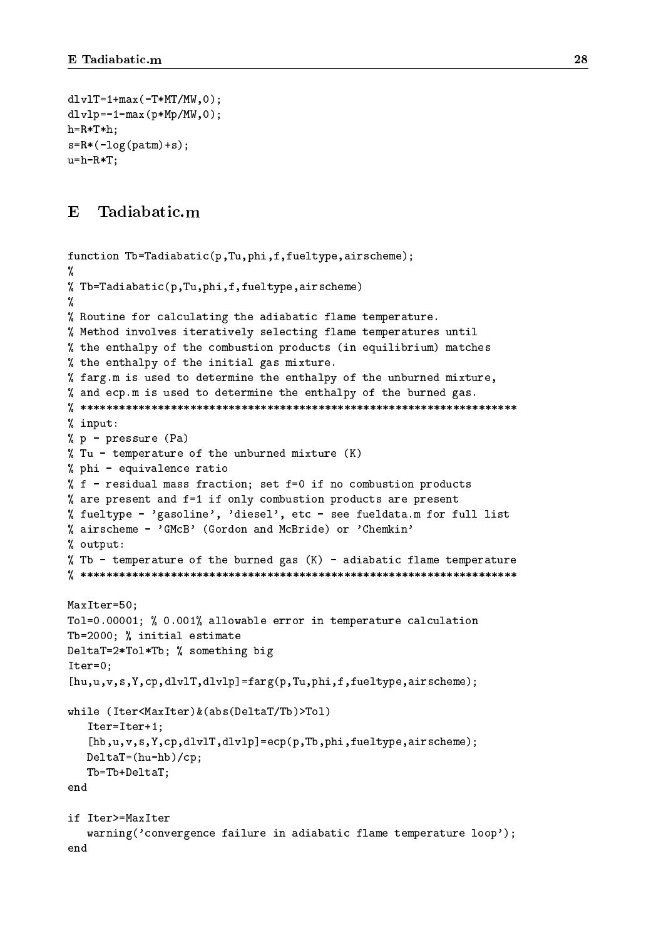```
dlv1T=1+max(-T*MT/MW,0);dlyl p=-1 - max(p*Mp/MW,0);h=R*T*h;
s=R*(-log(patm)+s);u=h-R*T;
```
### $\mathbf{E}$

```
function Tb=Tadiabatic(p,Tu,phi,f,fueltype,airscheme);
୍ୟୁ
%
% Tb=Tadiabatic(p,Tu,phi,f,fueltype,airscheme)
%
% Routine for calculating the adiabatic flame temperature.
% Method involves iteratively selecting flame temperatures until
% the enthalpy of the combustion products (in equilibrium) matches
% the enthalpy of the initial gas mixture.
% farg.m is used to determine the enthalpy of the unburned mixture,
% and ecp.m is used to determine the enthalpy of the burned gas.
% ********************************************************************
% input:
% p - pressure (Pa)
\% Tu - temperature of the unburned mixture (K)% phi - equivalence ratio
% f - residual mass fraction; set f=0 if no combustion products
% are present and f=1 if only combustion products are present
% fueltype - 'gasoline', 'diesel', etc - see fueldata.m for full list
% airscheme - 'GMcB' (Gordon and McBride) or 'Chemkin'
% output:
% Tb - temperature of the burned gas (K) - adiabatic flame temperature
% ********************************************************************
MaxIter=50;
Tol=0.00001; % 0.001% allowable error in temperature calculation
Tb=2000; % initial estimate
DeltaT=2*Tol*Tb; % something big
Iter=0;
[hu,u,v,s,Y,cp,dlvlT,dlvlp]=farg(p,Tu,phi,f,fueltype,airscheme);
while (Iter<MaxIter)&(abs(DeltaT/Tb)>Tol)
   Iter=Iter+1;
   [hb,u,v,s,Y,cp,dlvlT,dlvlp]=ecp(p,Tb,phi,fueltype,airscheme);
   DeltaT=(hu-hb)/cp;
   Tb=Tb+DeltaT;
endif Iter>=MaxIter
   warning('convergence failure in adiabatic flame temperature loop');
end
```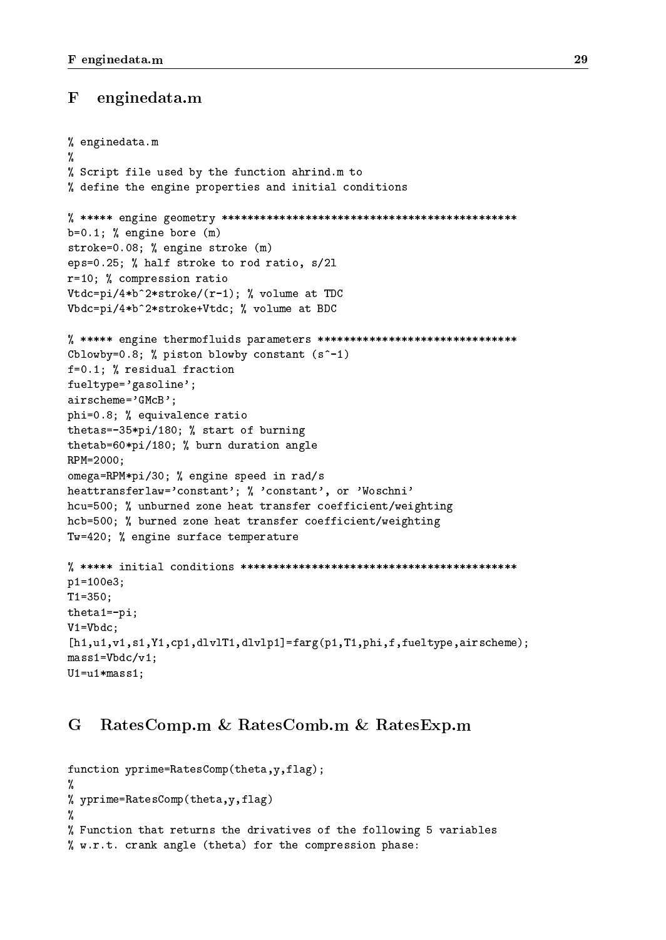#### $\mathbf F$ enginedata.m

```
% enginedata.m
%
% Script file used by the function ahrind.m to
% define the engine properties and initial conditions
% ***** engine geometry **********************************************
b=0.1; % engine bore (m)
stroke=0.08; % engine stroke (m)
eps=0.25; % half stroke to rod ratio, s/2l
r=10; % compression ratio
Vtdc=pi/4*b^2*stroke/(r-1); % volume at TDC
Vbdc=pi/4*b^2*stroke+Vtdc; % volume at BDC
% ***** engine thermofluids parameters *******************************
Cblowby=0.8; % piston blowby constant (s^{\texttt{-1}})f=0.1; % residual fraction
fueltype='gasoline';
airscheme='GMcB';
phi=0.8; % equivalence ratio
thetas=-35*pi/180; % start of burning
thetab=60*pi/180; % burn duration angle
RPM=2000;
omega=RPM*pi/30; % engine speed in rad/s
heattransferlaw='constant'; % 'constant', or 'Woschni'
hcu=500; % unburned zone heat transfer coefficient/weighting
hcb=500; % burned zone heat transfer coefficient/weighting
Tw=420; % engine surface temperature
% ***** initial conditions *******************************************
p1=100e3;
T1=350;
theta1=-pi;
V1=Vbdc;
[h1,u1,v1,s1,Y1,cp1,dlvlT1,dlvlp1]=farg(p1,T1,phi,f,fueltype,airscheme);
mass1=Vbdc/v1;
U1=u1*mass1;
```
### G RatesComp.m & RatesComb.m & RatesExp.m

```
function yprime=RatesComp(theta,y,flag);
\mathbf{v}% yprime=RatesComp(theta, y, flag)
%
% Function that returns the drivatives of the following 5 variables
% w.r.t. crank angle (theta) for the compression phase:
```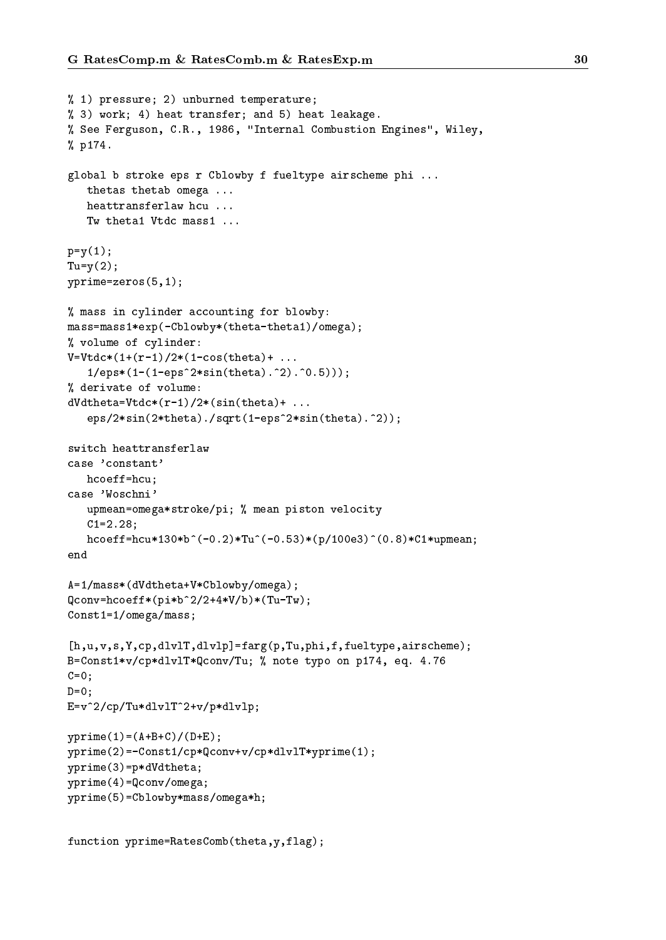```
% 1) pressure; 2) unburned temperature;
% 3) work; 4) heat transfer; and 5) heat leakage.
% See Ferguson, C.R., 1986, "Internal Combustion Engines", Wiley,
% p174.
global b stroke eps r Cblowby f fueltype airscheme phi ...
   thetas thetab omega ...
   heattransferlaw hcu ...
   Tw theta1 Vtdc mass1 ...
p=y(1);Tu=y(2);yprime=zeros(5,1);
% mass in cylinder accounting for blowby:
mass=mass1*exp(-Cblowby*(theta-theta1)/omega);
% volume of cylinder:
V=Vtdc*(1+(r-1)/2*(1-cos(theta)+...1/eps*(1-(1-eps^2*sin(theta).^2).^0.5)));
% derivate of volume:
dVdtheta = Vtdc*(r-1)/2*(sin(theta) + ...eps/2*sin(2*theta)./sqrt(1-eps^2*sin(theta).^2));
switch heattransferlaw
case 'constant'
   hcoeff=hcu;
case 'Woschni'
   upmean=omega*stroke/pi; % mean piston velocity
   C1=2.28;
   hcoeff=hcu*130*b^(-0.2)*Tu^(-0.53)*(p/100e3)^(0.8)*C1*upmean;
A=1/mass*(dVdtheta+V*Cblowby/omega);
Qconv=hcoeff*(pi*b^2/2+4*V/b)*(Tu-Tw);Const1=1/omega/mass;
[h,u,v,s,Y,cp,dlvlT,dlvlp]=farg(p,Tu,phi,f,fueltype,airscheme);
B=Const1*v/cp*dlvlT*Qconv/Tu; % note typo on p174, eq. 4.76
C=0:
D=0;
E=v^2/cp/Tu*dlvlT^2+v/p*dlvlp;
yprime(1)=(A+B+C)/(D+E);yprime(2)=-Const1/cp*Qconv+v/cp*dlvlT*yprime(1);
yprime(3)=p*dVdtheta;
yprime(4)=Qconv/omega;
yprime(5)=Cblowby*mass/omega*h;
```

```
function yprime=RatesComb(theta,y,flag);
```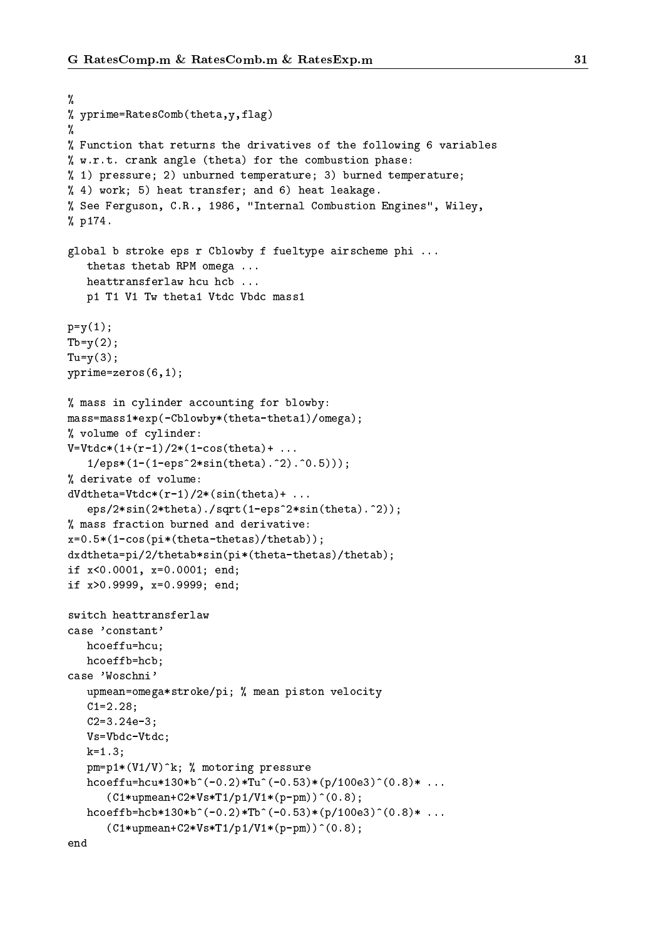```
%
% yprime=RatesComb(theta,y,flag)
ଂ/
%
% Function that returns the drivatives of the following 6 variables
% w.r.t. crank angle (theta) for the combustion phase:
% 1) pressure; 2) unburned temperature; 3) burned temperature;
% 4) work; 5) heat transfer; and 6) heat leakage.
% See Ferguson, C.R., 1986, "Internal Combustion Engines", Wiley,
% p174.
global b stroke eps r Cblowby f fueltype airscheme phi ...
   thetas thetab RPM omega ...
   heattransferlaw hcu hcb ...
   p1 T1 V1 Tw theta1 Vtdc Vbdc mass1
p=y(1);Tb=y(2);Tu=y(3);yprime=zeros(6,1);
% mass in cylinder accounting for blowby:
mass=mass1*exp(-Cblowby*(theta-theta1)/omega);
% volume of cylinder:
V=Vtdc*(1+(r-1)/2*(1-cos(theta)+...1/eps*(1-(1-eps^2*sin(theta), ^2).^0.5)));
% derivate of volume:
dVdtheta = Vtdc*(r-1)/2*(sin(theta) + ...eps/2*sin(2*theta)./sqrt(1-eps^2*sin(theta).^2));
% mass fraction burned and derivative:
x=0.5*(1-cos(pix(theta-thetas)/thetaab));dxdtheta=pi/2/thetab*sin(pi*(theta-thetas)/thetab);
if x<0.0001, x=0.0001; end;
if x>0.9999, x=0.9999; end;
switch heattransferlaw
case 'constant'
   hcoeffu=hcu:
   hacoff in the state of the state of the state of the state of the state of the state of the state of the state
   hcoeffb=hcb;
case 'Woschni'
   upmean=omega*stroke/pi; % mean piston velocity
   C1=2.28;C2=3.24e-3;Vs=Vbdc-Vtdc;
   k=1.3;
   pm=p1*(V1/V)^k; % motoring pressure
   hcoeffu=hcu*130*b^(-0.2)*Tu^(-0.53)*(p/100e3)^(0.8)* ...
      (C1*upmean+C2*Vs*T1/p1/V1*(p-pm))^(0.8);hcoeffb=hcb*130*b^(-0.2)*Tb^(-0.53)*(p/100e3)^(0.8)* ...
      (C1*upmean+C2*Vs*T1/p1/V1*(p-pm))^(0.8);end
```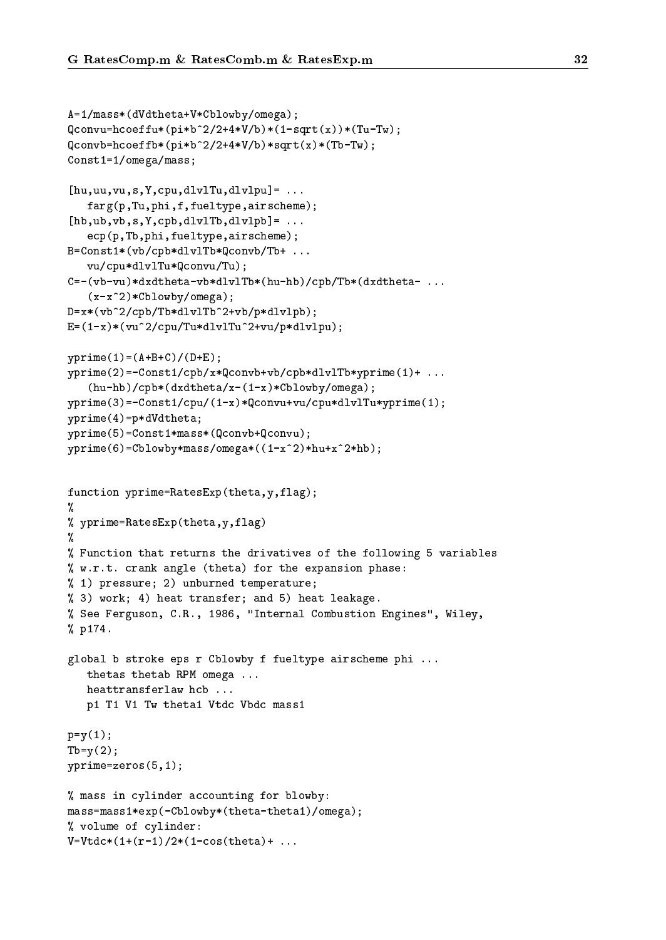```
A=1/mass*(dVdtheta+V*Cblowby/omega);
Qconvu=hcoeffu*(pi*b^2/2+4*V/b)*(1-sqrt(x)*(Tu-Tw);Qconvb=hcoeffb*(pi*b^2/2+4*V/b)*sqrt(x)*(Tb-Tw);
Const1=1/omega/mass;
[hu, uu, vu, s, Y, cpu, dlv1Tu, dlv1pu] = ...farg(p,Tu,phi,f,fueltype,airscheme);
[hb,ub,vb,s,Y,cpb,dlv1Tb,dlv1pb] = ...ecp(p,Tb,phi,fueltype,airscheme);
B=Const1*(vb/cpb*dlvlTb*Qconvb/Tb+ ...
   vu/cpu*dlvlTu*Qconvu/Tu);
C=-(vb-vu)*dxdtheta-vb*dlv1Tb*(hu-hb)/cpb/Tb*(dxdtheta-....
   (x-x^2)*Cblowby/omega);D=x*(vb^2/cpb/Tb*dlvlTb^2+vb/p*dlvlpb);
E=(1-x)*(vu^2/cpu/Tu*dlv1Tu^2+vu/p*dlv1pu);yprime(1)=(A+B+C)/(D+E);yprime(2)=-Const1/cpb/x*Qconvb+vb/cpb*dlvlTb*yprime(1)+ ...
   (hu-hb)/cpb*(dxdtheta/x-(1-x)*Cblowby/omega);
yprime(3)=-Const1/cpu/(1-x)*Qconvu+vu/cpu*dlvlTu*yprime(1);
yprime(4)=p*dVdtheta;
yprime(5)=Const1*mass*(Qconvb+Qconvu);
yprime(6)=Cblowby*mass/omega*((1-x^2)*hu+x^2*hb);
function yprime=RatesExp(theta,y,flag);
%
% yprime=RatesExp(theta,y,flag)
%
% Function that returns the drivatives of the following 5 variables
% w.r.t. crank angle (theta) for the expansion phase:
% 1) pressure; 2) unburned temperature;
% 3) work; 4) heat transfer; and 5) heat leakage.
% See Ferguson, C.R., 1986, "Internal Combustion Engines", Wiley,
% p174.
global b stroke eps r Cblowby f fueltype airscheme phi ...
   thetas thetab RPM omega ...
   heattransferlaw hcb ...
   p1 T1 V1 Tw theta1 Vtdc Vbdc mass1
p=y(1);Tb=y(2);yprime=zeros(5,1);
% mass in cylinder accounting for blowby:
mass=mass1*exp(-Cblowby*(theta-theta1)/omega);
% volume of cylinder:
V=Vtdc*(1+(r-1)/2*(1-cos(theta)+...
```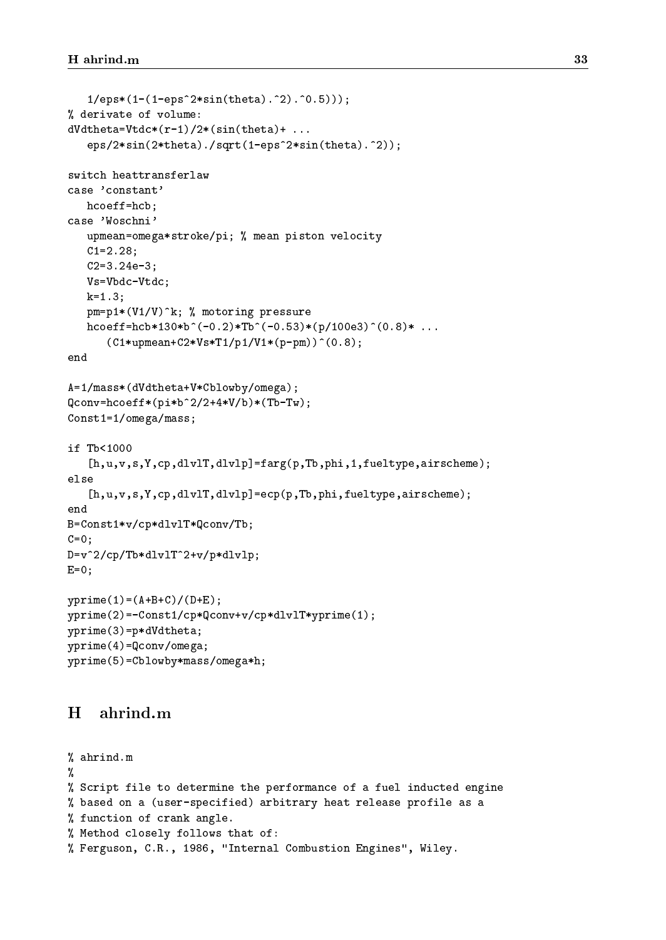```
1/eps*(1-(1-eps^2*sin(theta).^2).^0.5)));
% derivate of volume:
dVdtheta = Vtdc*(r-1)/2*(sin(theta) + ...eps/2*sin(2*theta)./sqrt(1-eps^2*sin(theta).^2));
switch heattransferlaw
case 'constant'
   hcoeff=hcb;
case 'Woschni'
   upmean=omega*stroke/pi; % mean piston velocity
   C1=2.28;
   C2=3.24e-3;
   Vs=Vbdc-Vtdc;
   k=1.3;pm=p1*(V1/V)^k; % motoring pressure
   hcoeff=hcb*130*b^(-0.2)*Tb^(-0.53)*(p/100e3)^(0.8)* ...
      (C1*upmean+C2*Vs*T1/p1/V1*(p-pm))^(0.8);A=1/mass*(dVdtheta+V*Cblowby/omega);
Qconv=hcoeff*(pi*b^2/2+4*V/b)*(Tb-Tw);
Const1=1/omega/mass;
if Tb<1000
   [h,u,v,s,Y,cp,dlvlT,dlvlp]=farg(p,Tb,phi,1,fueltype,airscheme);
else
   [h,u,v,s,Y,cp,dlvlT,dlvlp]=ecp(p,Tb,phi,fueltype,airscheme);
end
B=Const1*v/cp*dlvlT*Qconv/Tb;
C=0;D=v^2/cp/Tb*dlvlT^2+v/p*dlvlp;
E=0;yprime(1)=(A+B+C)/(D+E);yprime(2)=-Const1/cp*Qconv+v/cp*dlvlT*yprime(1);
yprime(3)=p*dVdtheta;
yprime(4)=Qconv/omega;
yprime(5)=Cblowby*mass/omega*h;
```
#### $H$ ahrind.m

```
% ahrind.m
୍ୟ
%
% Script file to determine the performance of a fuel inducted engine
% based on a (user-specified) arbitrary heat release profile as a
% function of crank angle.
% Method closely follows that of:
% Ferguson, C.R., 1986, "Internal Combustion Engines", Wiley.
```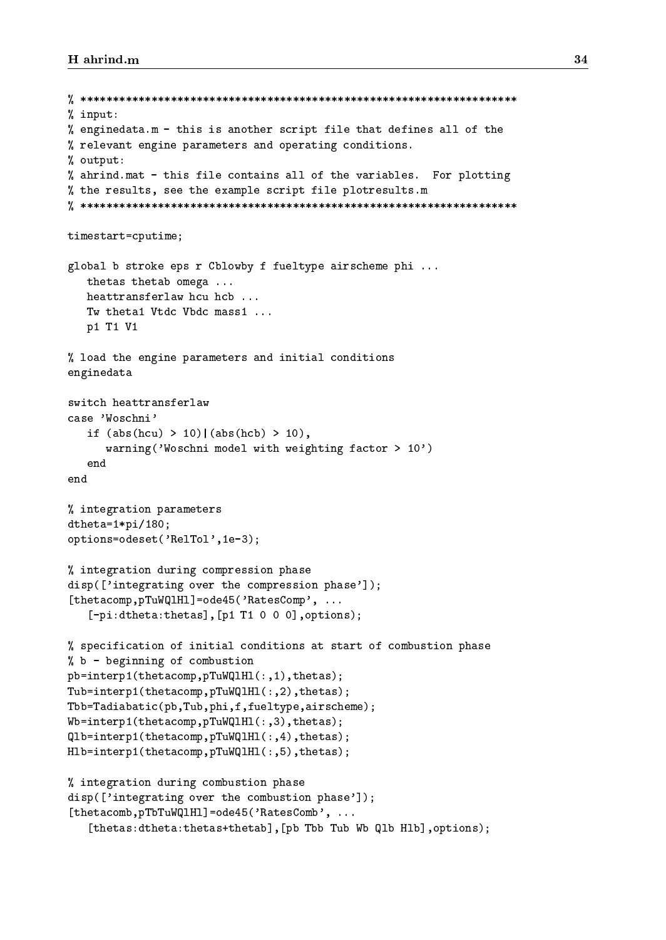```
% ********************************************************************
% input:
% enginedata.m - this is another script file that defines all of the
% relevant engine parameters and operating conditions.
\mathcal{W} output: \mathcal{W}% ahrind.mat - this file contains all of the variables. For plotting
% the results, see the example script file plotresults.m
% ********************************************************************
timestart=cputime;
global b stroke eps r Cblowby f fueltype airscheme phi ...
   thetas thetab omega ...
   heattransferlaw hcu hcb ...
   Tw theta1 Vtdc Vbdc mass1 ...
   p1 T1 V1
% load the engine parameters and initial conditions
enginedata
switch heattransferlaw
case 'Woschni'
   if (abs(hcu) > 10) | (abs(hcb) > 10),
      warning('Woschni model with weighting factor > 10')
   end
end
% integration parameters
dtheta=1*pi/180;
options=odeset('RelTol',1e-3);
% integration during compression phase
disp(['integrating over the compression phase']);
[thetacomp, pTuWQ1H1]=ode45('RatesComp', ...
   [-pi:dtheta:thetas],[p1 T1 0 0 0],options);
% specification of initial conditions at start of combustion phase
% b - beginning of combustion
pb=interp1(thetacomp,pTuWQlHl(:,1),thetas);
Tub=interp1(thetacomp,pTuWQlHl(:,2),thetas);
Tbb=Tadiabatic(pb,Tub,phi,f,fueltype,airscheme);
Wb=interp1(thetacomp,pTuWQ1H1(:,3),thetas);
Qlb=interp1(thetacomp,pTuWQlHl(:,4),thetas);
Hlb=interp1(thetacomp,pTuWQlHl(:,5),thetas);
% integration during combustion phase
disp(['integrating over the combustion phase']);
[thetacomb, pTbTuWQ1H1]=ode45('RatesComb', ...
   [thetas:dtheta:thetas+thetab],[pb Tbb Tub Wb Qlb Hlb],options);
```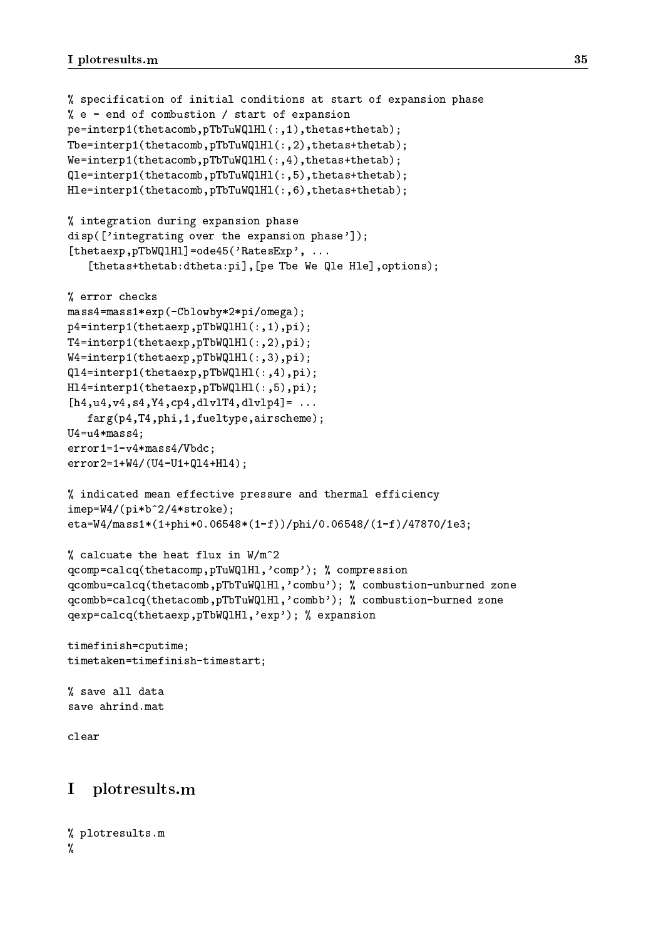```
% specification of initial conditions at start of expansion phase
% e - end of combustion / start of expansion
pe=interp1(thetacomb,pTbTuWQlHl(:,1),thetas+thetab);
Tbe=interp1(thetacomb,pTbTuWQlHl(:,2),thetas+thetab);
We=interp1(thetacomb,pTbTuWQlHl(:,4),thetas+thetab);
Qle=interp1(thetacomb,pTbTuWQlHl(:,5),thetas+thetab);
Hle=interp1(thetacomb,pTbTuWQlHl(:,6),thetas+thetab);
% integration during expansion phase
disp(['integrating over the expansion phase']);
[thetaexp,pTbWQlHl]=ode45('RatesExp', ...
   [thetas+thetab:dtheta:pi],[pe Tbe We Qle Hle],options);
% error checks
mass4=mass1*exp(-Cblowby*2*pi/omega);
p4=interp1(thetaexp,pTbWQlHl(:,1),pi);
T4=interp1(thetaexp,pTbWQlHl(:,2),pi);
W4=interp1(thetaexp,pTbWQlHl(:,3),pi);
Ql4=interp1(thetaexp,pTbWQlHl(:,4),pi);
Hl4=interp1(thetaexp,pTbWQlHl(:,5),pi);
[h4, u4, v4, s4, Y4, cp4, dlv1T4, dlv1p4] = ...farg(p4,T4,phi,1,fueltype,airscheme);
U4 = u4*mass4;
error1=1-v4*mass4/Vbdc;
error2=1+W4/(U4-U1+Ql4+Hl4);
% indicated mean effective pressure and thermal efficiency
imep=W4/(pi*b^2/4*stroke);
eta=W4/mass1*(1+phi*0.06548*(1-f))/phi/0.06548/(1-f)/47870/1e3;
% calcuate the heat flux in W/m^2
qcomp=calcq(thetacomp,pTuWQlHl,'comp'); % compression
qcombu=calcq(thetacomb,pTbTuWQlHl,'combu'); % combustion-unburned zone
qcombb=calcq(thetacomb,pTbTuWQlHl,'combb'); % combustion-burned zone
qexp=calcq(thetaexp,pTbWQlHl,'exp'); % expansion
timefinish=cputime;
timetaken=timefinish-timestart;
% save all data
save ahrind.mat
clear
I plotresults.m
```

```
% plotresults.m
%
%
```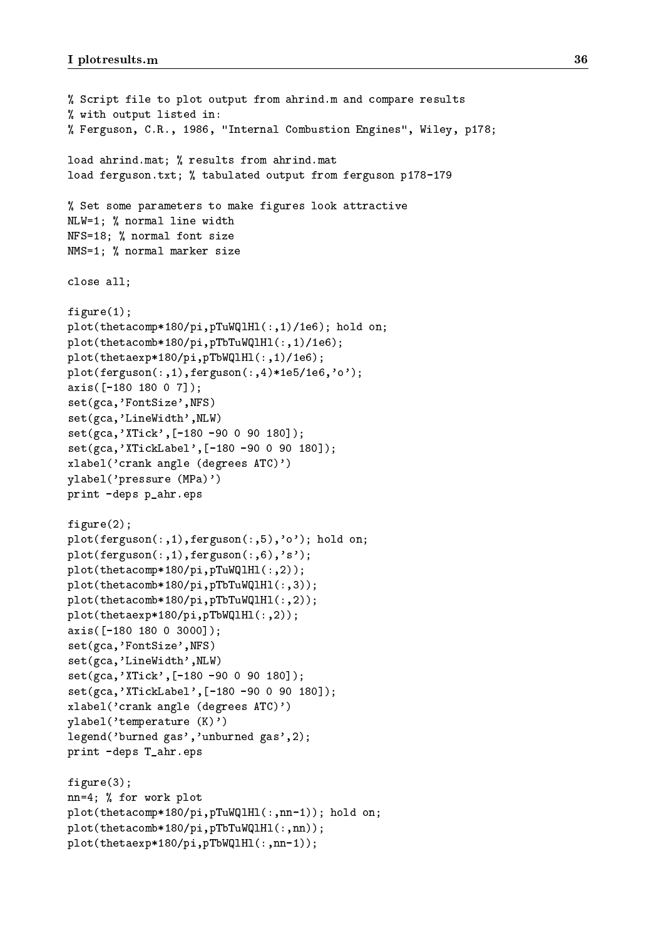```
% Script file to plot output from ahrind.m and compare results
% with output listed in:
% Ferguson, C.R., 1986, "Internal Combustion Engines", Wiley, p178;
load ahrind.mat; % results from ahrind.mat
load ferguson.txt; % tabulated output from ferguson p178-179
% Set some parameters to make figures look attractive
NLW=1; % normal line width
NFS=18; % normal font size
NMS=1; % normal marker size
close all;
figure(1);
plot(thetacomp*180/pi,pTuWQlHl(:,1)/1e6); hold on;
plot(thetacomb*180/pi,pTbTuWQlHl(:,1)/1e6);
plot(thetaexp*180/pi,pTbWQlHl(:,1)/1e6);
plot(ferguson(:,1),ferguson(:,4)*1e5/1e6,'o');
axis([-180 180 0 7]);
set(gca,'FontSize',NFS)
set(gca,'LineWidth',NLW)
set(gca,'XTick',[-180 -90 0 90 180]);
set(gca,'XTickLabel',[-180 -90 0 90 180]);
xlabel('crank angle (degrees ATC)')
ylabel('pressure (MPa)')
print -deps p_ahr.eps
figure(2);
plot(ferguson(:,1),ferguson(:,5),'o'); hold on;
plot(ferguson(:,1),ferguson(:,6),'s');
plot(thetacomp*180/pi,pTuWQlHl(:,2));
plot(thetacomb*180/pi,pTbTuWQlHl(:,3));
plot(thetacomb*180/pi,pTbTuWQlHl(:,2));
plot(thetaexp*180/pi,pTbWQlHl(:,2));
axis([-180 180 0 3000]);
set(gca,'FontSize',NFS)
set(gca,'LineWidth',NLW)
set(gca,'XTick',[-180 -90 0 90 180]);
set(gca,'XTickLabel',[-180 -90 0 90 180]);
xlabel('crank angle (degrees ATC)')
ylabel('temperature (K)')
legend('burned gas','unburned gas',2);
print -deps T_ahr.eps
figure(3);
nn=4; % for work plot
plot(thetacomp*180/pi,pTuWQlHl(:,nn-1)); hold on;
plot(thetacomb*180/pi,pTbTuWQlHl(:,nn));
plot(thetaexp*180/pi,pTbWQlHl(:,nn-1));
```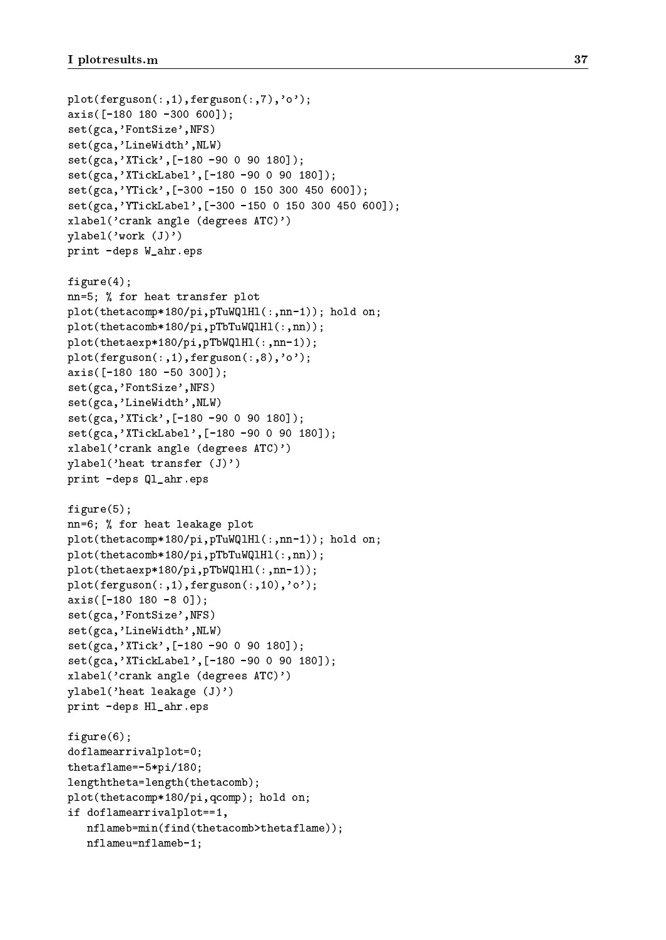```
plot(ferguson(:,1),ferguson(:,7),'o')
;
axis([-180 180 -300 600]);
set(gca,'FontSize',NFS)
set(gca,'LineWidth',NLW
                          )
set(gca,'XTick',[-180 -90
0 90 180]);
set(gca,'XTickLabel',[-180 -90
0 90 180]);
set(gca,'YTick',[-300 -150
0 150 300 450 600]);
set(gca,'YTickLabel',[-300 -150
0 150 300 450 600]);
xlabel('crank angle (degrees ATC)')
ylabel('work (J)')
print -deps W_ahr.eps
figure(4);
nn=5; for heat transfer plot transfer plot transfer plot to the transfer plot transfer plot the transfer plot
plot(thetacomp*180/pi,pTuWQlHl(:,nn-1)); hold on;
plot(thetacomb*180/pi,pTbTuWQlHl(:,nn));
plot(thetaexp*180/pi,pTbWQlHl(:,nn-1));
plot(ferguson(:,1),ferguson(:,8),'o')
;
axis([-180 180 -50 300]);
set(gca,'FontSize',NFS)
set(gca,'LineWidth',NLW
                          )
set(gca,'XTick',[-180 -90
0 90 180]);
set(gca,'XTickLabel',[-180 -90
0 90 180]);
xlabel('crank angle (degrees ATC)')
ylabel('heat transfer (J)')
print -deps Ql_ahr.eps
figure(5);
for heat leakage plot in the form of the state plot in the state plot of the state plot in the state plot of the state plot in the state of the state of the state of the state of the state of the state of the state of the 
plot(thetacomp*180/pi,pTuWQlHl(:,nn-1)); hold on;
plot(thetacomb*180/pi,pTbTuWQlHl(:,nn));
plot(thetaexp*180/pi,pTbWQlHl(:,nn-1));
plot(ferguson(:,1),ferguson(:,10),'o');
axis([-180 180 -8 0]);
set(gca,'FontSize',NFS)
set(gca,'LineWidth',NLW
                          )
set(gca,'XTick',[-180 -90
0 90 180]);
set(gca,'XTickLabel',[-180 -90
0 90 180]);
xlabel('crank angle (degrees ATC)')
ylabel('heat leakage (J)')
print -deps Hl_ahr.eps
figure(6);
doflamearrivalplot=0;
thetaflame=-5*pi/180;
lengththeta=length(thetacomb);
plot(thetacomp*180/pi,qcomp); hold on;
if doflamearrivalplot==1,
   nflameb=min(find(thetacomb>thetaflame));
   nflameu=nflameb-1;
```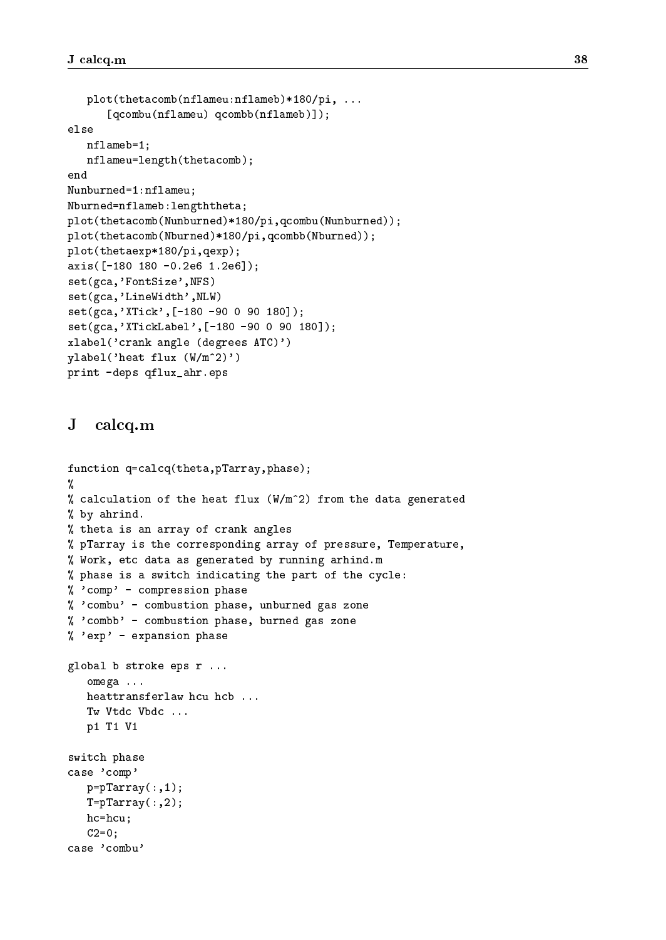```
plot(thetacomb(nflameu:nflameb)*180/pi, ...
      [qcombu(nflameu) qcombb(nflameb)]);
   nflameb=1;
   nflameu=length(thetacomb);
end
Nunburned=1:nflameu;
Nburned=nflameb:lengththeta;
plot(thetacomb(Nunburned)*180/pi,qcombu(Nunburned));
plot(thetacomb(Nburned)*180/pi,qcombb(Nburned));
plot(thetaexp*180/pi,qexp);
axis([-180 180 -0.2e6 1.2e6]);
set(gca,'FontSize',NFS)
set(gca,'LineWidth',NLW)
set(gca,'XTick',[-180 -90 0 90 180]);
set(gca,'XTickLabel',[-180 -90 0 90 180]);
xlabel('crank angle (degrees ATC)')
ylabel('heat flux (W/m^2)')
print -deps qflux_ahr.eps
```
#### $\bf J$ calcq.m

```
function q=calcq(theta,pTarray,phase);
%
% calculation of the heat flux (W/m^2) from the data generated
% by ahrind.
% theta is an array of crank angles
% pTarray is the corresponding array of pressure, Temperature,
% Work, etc data as generated by running arhind.m
% phase is a switch indicating the part of the cycle:
% 'comp' - compression phase
% 'combu' - combustion phase, unburned gas zone
% 'combb' - combustion phase, burned gas zone
% 'exp' - expansion phase
global b stroke eps r ...
   omega ...
   heattransferlaw hcu hcb ...
   Tw Vtdc Vbdc ...
   p1 T1 V1
switch phase
case 'comp'
   p=pTarray(:,1);T=pTarray(:,2);hc=hcu;
   C2=0;case 'combu'
```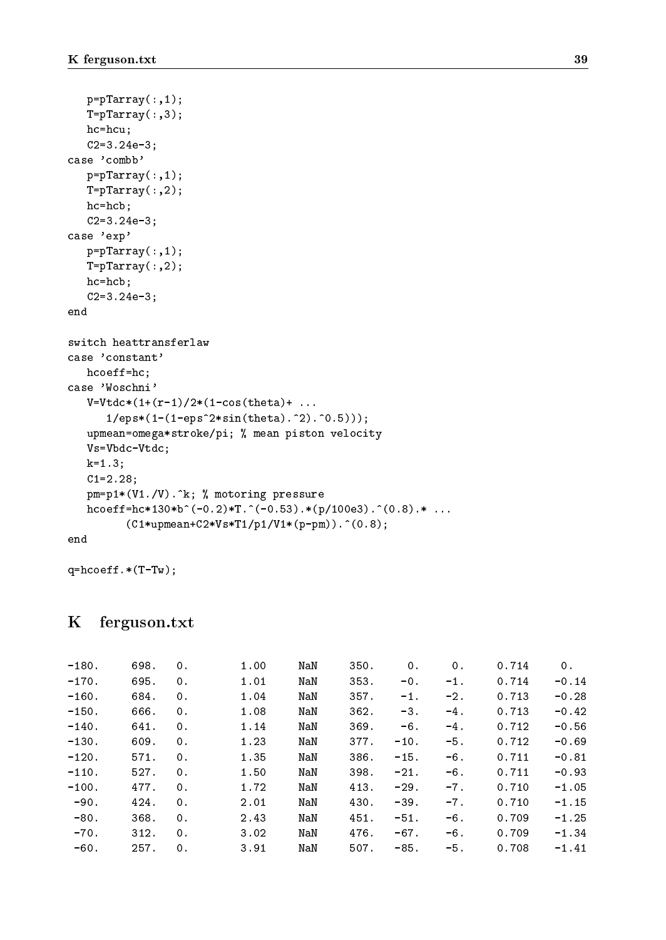```
p=pTarray(:,1);T=pTarray(:,3);
   hc=hcu;
   C2=3.24e-3;
case 'combb'
   p=pTarray(:,1);
   T=pTarray(:,2);
   hc=hcb;
   C2=3.24e-3;
case 'exp'
   p=pTarray(:,1);
   T = pTarray(:,2);hc=hcb;
   C2=3.24e-3;
end
switch heattransferlaw
case 'constant'
   hcoeff=hc;
case 'Woschni'
   V=Vtdc*(1+(r-1)/2*(1-cos(theta)+...1/eps*(1-(1-eps^2*sin(theta).^2).^0.5)));
   upmean=omega*stroke/pi; % mean piston velocity
   Vs=Vbdc-Vtdc;
   k=1.3;
   C1=2.28;
   pm=p1*(V1./V).^k; % motoring pressure
   h \text{coeff} = h \text{c} * 130 * b^(-0.2) * T.^(-0.53).*(p/100e3).^(0.8).* ...(C1*upmean+C2*Vs*T1/p1/V1*(p-pm)).^(0.8);
end
```
q=hcoeff.\*(T-Tw);

### K ferguson.txt

| $-180.$ | 698. | 0. | 1.00 | NaN | 350. | 0.     | 0.     | 0.714 | 0.      |
|---------|------|----|------|-----|------|--------|--------|-------|---------|
| $-170.$ | 695. | 0. | 1.01 | NaN | 353. | $-0$ . | $-1$ . | 0.714 | $-0.14$ |
| $-160.$ | 684. | 0. | 1.04 | NaN | 357. | $-1$ . | $-2.$  | 0.713 | $-0.28$ |
| $-150.$ | 666. | 0. | 1.08 | NaN | 362. | $-3.$  | $-4.$  | 0.713 | $-0.42$ |
| $-140.$ | 641. | 0. | 1.14 | NaN | 369. | $-6.$  | $-4.$  | 0.712 | $-0.56$ |
| $-130.$ | 609. | 0. | 1.23 | NaN | 377. | $-10.$ | $-5.$  | 0.712 | $-0.69$ |
| $-120.$ | 571. | 0. | 1.35 | NaN | 386. | $-15.$ | $-6.$  | 0.711 | $-0.81$ |
| $-110.$ | 527. | 0. | 1.50 | NaN | 398. | $-21.$ | $-6.$  | 0.711 | $-0.93$ |
| $-100.$ | 477. | 0. | 1.72 | NaN | 413. | $-29.$ | $-7.$  | 0.710 | $-1.05$ |
| $-90.$  | 424. | 0. | 2.01 | NaN | 430. | $-39.$ | $-7.$  | 0.710 | $-1.15$ |
| $-80.$  | 368. | 0. | 2.43 | NaN | 451. | $-51.$ | $-6$ . | 0.709 | $-1.25$ |
| $-70.$  | 312. | 0. | 3.02 | NaN | 476. | $-67.$ | $-6.$  | 0.709 | $-1.34$ |
| -60.    | 257. | 0. | 3.91 | NaN | 507. | $-85.$ | $-5.$  | 0.708 | $-1.41$ |